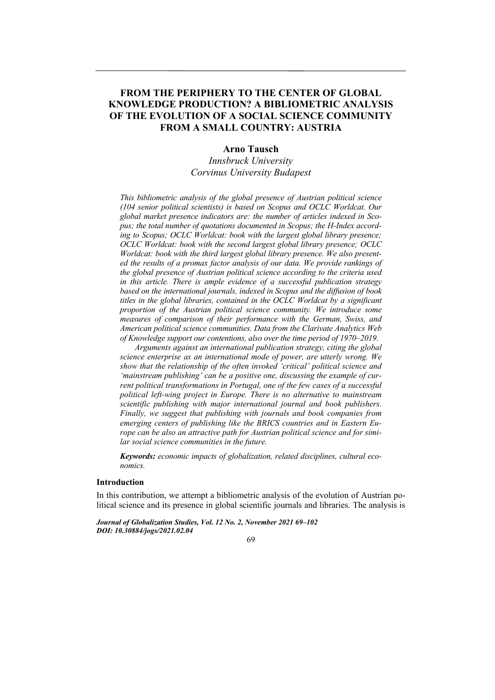## **FROM THE PERIPHERY TO THE CENTER OF GLOBAL KNOWLEDGE PRODUCTION? A BIBLIOMETRIC ANALYSIS OF THE EVOLUTION OF A SOCIAL SCIENCE COMMUNITY FROM A SMALL COUNTRY: AUSTRIA**

## **Arno Tausch**

*Innsbruck University Corvinus University Budapest* 

*This bibliometric analysis of the global presence of Austrian political science (104 senior political scientists) is based on Scopus and OCLC Worldcat. Our global market presence indicators are: the number of articles indexed in Scopus; the total number of quotations documented in Scopus; the H-Index according to Scopus; OCLC Worldcat: book with the largest global library presence; OCLC Worldcat: book with the second largest global library presence; OCLC Worldcat: book with the third largest global library presence. We also presented the results of a promax factor analysis of our data. We provide rankings of the global presence of Austrian political science according to the criteria used in this article. There is ample evidence of a successful publication strategy based on the international journals, indexed in Scopus and the diffusion of book titles in the global libraries, contained in the OCLC Worldcat by a significant proportion of the Austrian political science community. We introduce some measures of comparison of their performance with the German, Swiss, and American political science communities. Data from the Clarivate Analytics Web of Knowledge support our contentions, also over the time period of 1970–2019.* 

*Arguments against an international publication strategy, citing the global science enterprise as an international mode of power, are utterly wrong. We show that the relationship of the often invoked 'critical' political science and 'mainstream publishing' can be a positive one, discussing the example of current political transformations in Portugal, one of the few cases of a successful political left-wing project in Europe. There is no alternative to mainstream scientific publishing with major international journal and book publishers. Finally, we suggest that publishing with journals and book companies from emerging centers of publishing like the BRICS countries and in Eastern Europe can be also an attractive path for Austrian political science and for similar social science communities in the future.* 

*Keywords: economic impacts of globalization, related disciplines, cultural economics.* 

### **Introduction**

In this contribution, we attempt a bibliometric analysis of the evolution of Austrian political science and its presence in global scientific journals and libraries. The analysis is

*Journal of Globalization Studies, Vol. 12 No. 2, November 2021 69–102 DOI: 10.30884/jogs/2021.02.04* 

69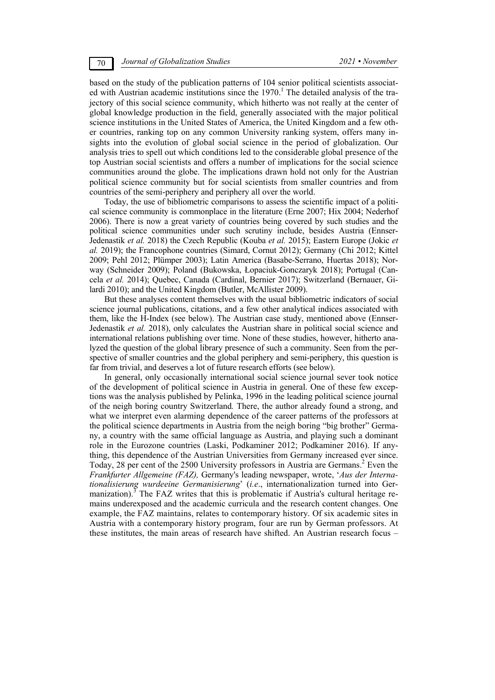based on the study of the publication patterns of 104 senior political scientists associated with Austrian academic institutions since the  $1970$ .<sup>1</sup> The detailed analysis of the trajectory of this social science community, which hitherto was not really at the center of global knowledge production in the field, generally associated with the major political science institutions in the United States of America, the United Kingdom and a few other countries, ranking top on any common University ranking system, offers many insights into the evolution of global social science in the period of globalization. Our analysis tries to spell out which conditions led to the considerable global presence of the top Austrian social scientists and offers a number of implications for the social science communities around the globe. The implications drawn hold not only for the Austrian political science community but for social scientists from smaller countries and from countries of the semi-periphery and periphery all over the world.

Today, the use of bibliometric comparisons to assess the scientific impact of a political science community is commonplace in the literature (Erne 2007; Hix 2004; Nederhof 2006). There is now a great variety of countries being covered by such studies and the political science communities under such scrutiny include, besides Austria (Ennser-Jedenastik *et al.* 2018) the Czech Republic (Kouba *et al.* 2015); Eastern Europe (Jokic *et al.* 2019); the Francophone countries (Simard, Cornut 2012); Germany (Chi 2012; Kittel 2009; Pehl 2012; Plümper 2003); Latin America (Basabe-Serrano, Huertas 2018); Norway (Schneider 2009); Poland (Bukowska, Łopaciuk-Gonczaryk 2018); Portugal (Cancela *et al.* 2014); Quebec, Canada (Cardinal, Bernier 2017); Switzerland (Bernauer, Gilardi 2010); and the United Kingdom (Butler, McAllister 2009).

But these analyses content themselves with the usual bibliometric indicators of social science journal publications, citations, and a few other analytical indices associated with them, like the H-Index (see below). The Austrian case study, mentioned above (Ennser-Jedenastik *et al.* 2018), only calculates the Austrian share in political social science and international relations publishing over time. None of these studies, however, hitherto analyzed the question of the global library presence of such a community. Seen from the perspective of smaller countries and the global periphery and semi-periphery, this question is far from trivial, and deserves a lot of future research efforts (see below).

In general, only occasionally international social science journal sever took notice of the development of political science in Austria in general. One of these few exceptions was the analysis published by Pelinka, 1996 in the leading political science journal of the neigh boring country Switzerland*.* There, the author already found a strong, and what we interpret even alarming dependence of the career patterns of the professors at the political science departments in Austria from the neigh boring "big brother" Germany, a country with the same official language as Austria, and playing such a dominant role in the Eurozone countries (Laski, Podkaminer 2012; Podkaminer 2016). If anything, this dependence of the Austrian Universities from Germany increased ever since. Today, 28 per cent of the 2500 University professors in Austria are Germans.<sup>2</sup> Even the *Frankfurter Allgemeine (FAZ),* Germany's leading newspaper, wrote, '*Aus der Internationalisierung wurdeeine Germanisierung*' (*i.e*., internationalization turned into Germanization).<sup>3</sup> The FAZ writes that this is problematic if Austria's cultural heritage remains underexposed and the academic curricula and the research content changes. One example, the FAZ maintains, relates to contemporary history. Of six academic sites in Austria with a contemporary history program, four are run by German professors. At these institutes, the main areas of research have shifted. An Austrian research focus –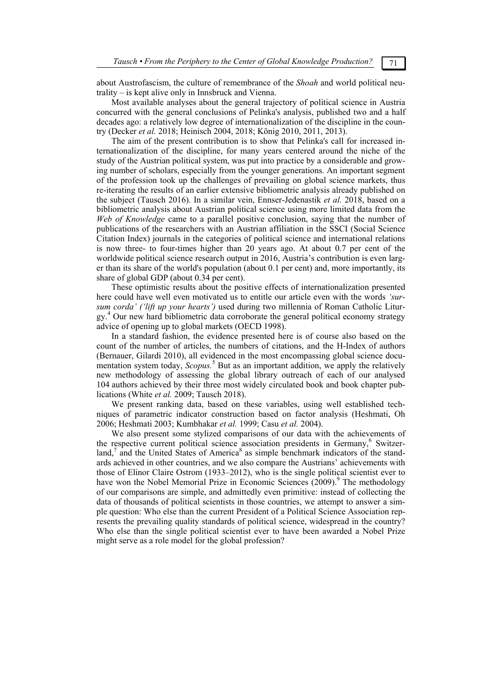about Austrofascism, the culture of remembrance of the *Shoah* and world political neutrality – is kept alive only in Innsbruck and Vienna.

Most available analyses about the general trajectory of political science in Austria concurred with the general conclusions of Pelinka's analysis, published two and a half decades ago: a relatively low degree of internationalization of the discipline in the country (Decker *et al.* 2018; Heinisch 2004, 2018; König 2010, 2011, 2013).

The aim of the present contribution is to show that Pelinka's call for increased internationalization of the discipline, for many years centered around the niche of the study of the Austrian political system, was put into practice by a considerable and growing number of scholars, especially from the younger generations. An important segment of the profession took up the challenges of prevailing on global science markets, thus re-iterating the results of an earlier extensive bibliometric analysis already published on the subject (Tausch 2016). In a similar vein, Ennser-Jedenastik *et al.* 2018, based on a bibliometric analysis about Austrian political science using more limited data from the *Web of Knowledge* came to a parallel positive conclusion, saying that the number of publications of the researchers with an Austrian affiliation in the SSCI (Social Science Citation Index) journals in the categories of political science and international relations is now three- to four-times higher than 20 years ago. At about 0.7 per cent of the worldwide political science research output in 2016, Austria's contribution is even larger than its share of the world's population (about 0.1 per cent) and, more importantly, its share of global GDP (about 0.34 per cent).

These optimistic results about the positive effects of internationalization presented here could have well even motivated us to entitle our article even with the words *'sursum corda' ('lift up your hearts')* used during two millennia of Roman Catholic Liturgy. 4 Our new hard bibliometric data corroborate the general political economy strategy advice of opening up to global markets (OECD 1998).

In a standard fashion, the evidence presented here is of course also based on the count of the number of articles, the numbers of citations, and the H-Index of authors (Bernauer, Gilardi 2010), all evidenced in the most encompassing global science documentation system today, *Scopus*.<sup>5</sup> But as an important addition, we apply the relatively new methodology of assessing the global library outreach of each of our analysed 104 authors achieved by their three most widely circulated book and book chapter publications (White *et al.* 2009; Tausch 2018).

We present ranking data, based on these variables, using well established techniques of parametric indicator construction based on factor analysis (Heshmati, Oh 2006; Heshmati 2003; Kumbhakar *et al.* 1999; Casu *et al.* 2004).

We also present some stylized comparisons of our data with the achievements of the respective current political science association presidents in Germany,<sup>6</sup> Switzerland, $\frac{7}{7}$  and the United States of America<sup>8</sup> as simple benchmark indicators of the standards achieved in other countries, and we also compare the Austrians' achievements with those of Elinor Claire Ostrom (1933–2012), who is the single political scientist ever to have won the Nobel Memorial Prize in Economic Sciences  $(2009)$ .<sup>9</sup> The methodology of our comparisons are simple, and admittedly even primitive: instead of collecting the data of thousands of political scientists in those countries, we attempt to answer a simple question: Who else than the current President of a Political Science Association represents the prevailing quality standards of political science, widespread in the country? Who else than the single political scientist ever to have been awarded a Nobel Prize might serve as a role model for the global profession?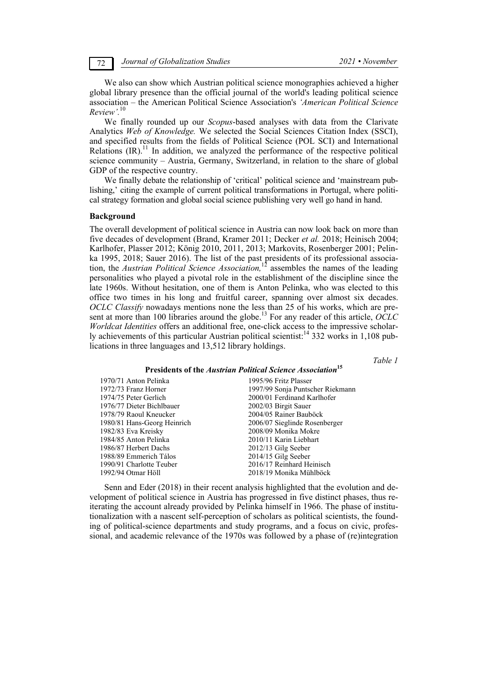72 *Journal of Globalization Studies 2021 • November* 

We also can show which Austrian political science monographies achieved a higher global library presence than the official journal of the world's leading political science association – the American Political Science Association's *'American Political Science Review'.*<sup>10</sup>

We finally rounded up our *Scopus*-based analyses with data from the Clarivate Analytics *Web of Knowledge.* We selected the Social Sciences Citation Index (SSCI), and specified results from the fields of Political Science (POL SCI) and International Relations  $\text{(IR)}$ .<sup>11</sup> In addition, we analyzed the performance of the respective political science community – Austria, Germany, Switzerland, in relation to the share of global GDP of the respective country.

We finally debate the relationship of 'critical' political science and 'mainstream publishing,' citing the example of current political transformations in Portugal, where political strategy formation and global social science publishing very well go hand in hand.

### **Background**

The overall development of political science in Austria can now look back on more than five decades of development (Brand, Kramer 2011; Decker *et al.* 2018; Heinisch 2004; Karlhofer, Plasser 2012; König 2010, 2011, 2013; Markovits, Rosenberger 2001; Pelinka 1995, 2018; Sauer 2016). The list of the past presidents of its professional association, the *Austrian Political Science Association,*12 assembles the names of the leading personalities who played a pivotal role in the establishment of the discipline since the late 1960s. Without hesitation, one of them is Anton Pelinka, who was elected to this office two times in his long and fruitful career, spanning over almost six decades. *OCLC Classify* nowadays mentions none the less than 25 of his works, which are present at more than 100 libraries around the globe.<sup>13</sup> For any reader of this article,  $\overrightarrow{OCLC}$ *Worldcat Identities* offers an additional free, one-click access to the impressive scholarly achievements of this particular Austrian political scientist:<sup>14</sup> 332 works in 1,108 publications in three languages and 13,512 library holdings.

*Table 1* 

## **Presidents of the** *Austrian Political Science Association***<sup>15</sup>**

| 1970/71 Anton Pelinka       | 1995/96 Fritz Plasser            |
|-----------------------------|----------------------------------|
| 1972/73 Franz Horner        | 1997/99 Sonja Puntscher Riekmann |
| 1974/75 Peter Gerlich       | 2000/01 Ferdinand Karlhofer      |
| 1976/77 Dieter Bichlbauer   | 2002/03 Birgit Sauer             |
| 1978/79 Raoul Kneucker      | 2004/05 Rainer Bauböck           |
| 1980/81 Hans-Georg Heinrich | 2006/07 Sieglinde Rosenberger    |
| 1982/83 Eva Kreisky         | 2008/09 Monika Mokre             |
| 1984/85 Anton Pelinka       | 2010/11 Karin Liebhart           |
| 1986/87 Herbert Dachs       | $2012/13$ Gilg Seeber            |
| 1988/89 Emmerich Tálos      | 2014/15 Gilg Seeber              |
| 1990/91 Charlotte Teuber    | 2016/17 Reinhard Heinisch        |
| 1992/94 Otmar Höll          | 2018/19 Monika Mühlböck          |

Senn and Eder (2018) in their recent analysis highlighted that the evolution and development of political science in Austria has progressed in five distinct phases, thus reiterating the account already provided by Pelinka himself in 1966. The phase of institutionalization with a nascent self-perception of scholars as political scientists, the founding of political-science departments and study programs, and a focus on civic, professional, and academic relevance of the 1970s was followed by a phase of (re)integration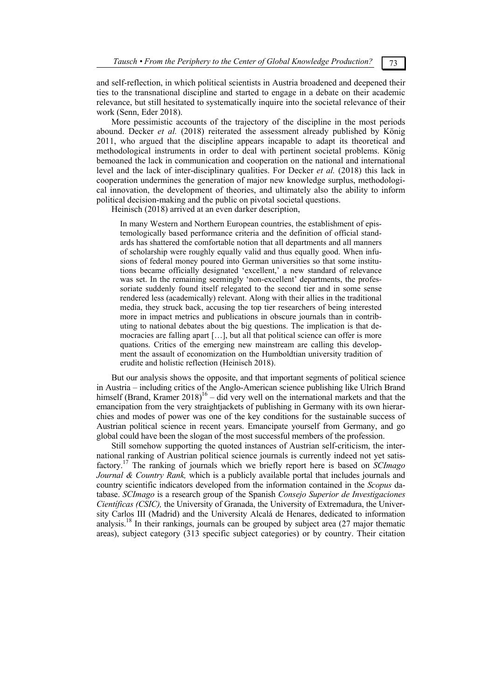and self-reflection, in which political scientists in Austria broadened and deepened their ties to the transnational discipline and started to engage in a debate on their academic relevance, but still hesitated to systematically inquire into the societal relevance of their work (Senn, Eder 2018).

More pessimistic accounts of the trajectory of the discipline in the most periods abound. Decker *et al.* (2018) reiterated the assessment already published by König 2011, who argued that the discipline appears incapable to adapt its theoretical and methodological instruments in order to deal with pertinent societal problems. König bemoaned the lack in communication and cooperation on the national and international level and the lack of inter-disciplinary qualities. For Decker *et al.* (2018) this lack in cooperation undermines the generation of major new knowledge surplus, methodological innovation, the development of theories, and ultimately also the ability to inform political decision-making and the public on pivotal societal questions.

Heinisch (2018) arrived at an even darker description,

In many Western and Northern European countries, the establishment of epistemologically based performance criteria and the definition of official standards has shattered the comfortable notion that all departments and all manners of scholarship were roughly equally valid and thus equally good. When infusions of federal money poured into German universities so that some institutions became officially designated 'excellent,' a new standard of relevance was set. In the remaining seemingly 'non-excellent' departments, the professoriate suddenly found itself relegated to the second tier and in some sense rendered less (academically) relevant. Along with their allies in the traditional media, they struck back, accusing the top tier researchers of being interested more in impact metrics and publications in obscure journals than in contributing to national debates about the big questions. The implication is that democracies are falling apart […], but all that political science can offer is more quations. Critics of the emerging new mainstream are calling this development the assault of economization on the Humboldtian university tradition of erudite and holistic reflection (Heinisch 2018).

But our analysis shows the opposite, and that important segments of political science in Austria – including critics of the Anglo-American science publishing like Ulrich Brand himself (Brand, Kramer  $2018$ )<sup>16</sup> – did very well on the international markets and that the emancipation from the very straightjackets of publishing in Germany with its own hierarchies and modes of power was one of the key conditions for the sustainable success of Austrian political science in recent years. Emancipate yourself from Germany, and go global could have been the slogan of the most successful members of the profession.

Still somehow supporting the quoted instances of Austrian self-criticism, the international ranking of Austrian political science journals is currently indeed not yet satisfactory.17 The ranking of journals which we briefly report here is based on *SCImago Journal & Country Rank,* which is a publicly available portal that includes journals and country scientific indicators developed from the information contained in the *Scopus* database. *SCImago* is a research group of the Spanish *Consejo Superior de Investigaciones Científicas (CSIC),* the University of Granada, the University of Extremadura, the University Carlos III (Madrid) and the University Alcalá de Henares, dedicated to information analysis.18 In their rankings, journals can be grouped by subject area (27 major thematic areas), subject category (313 specific subject categories) or by country. Their citation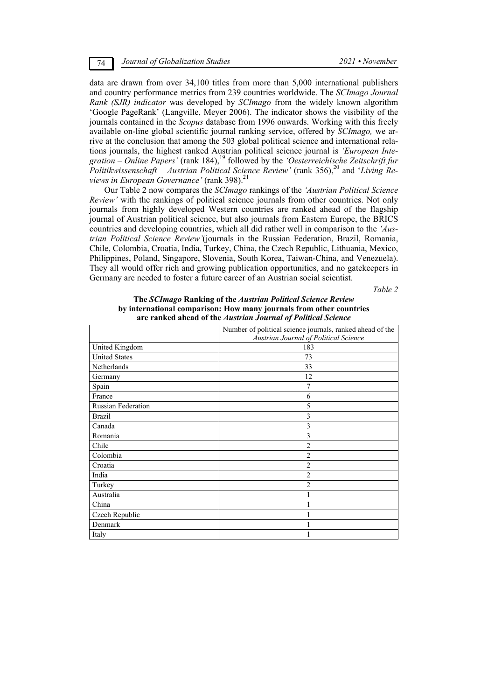data are drawn from over 34,100 titles from more than 5,000 international publishers and country performance metrics from 239 countries worldwide. The *SCImago Journal Rank (SJR) indicator* was developed by *SCImago* from the widely known algorithm 'Google PageRank' (Langville, Meyer 2006). The indicator shows the visibility of the journals contained in the *Scopus* database from 1996 onwards. Working with this freely available on-line global scientific journal ranking service, offered by *SCImago,* we arrive at the conclusion that among the 503 global political science and international relations journals, the highest ranked Austrian political science journal is *'European Integration* – *Online Papers'* (rank 184),19 followed by the *'Oesterreichische Zeitschrift fur Politikwissenschaft – Austrian Political Science Review'* (rank 356),<sup>20</sup> and '*Living Reviews in European Governance'* (rank 398).<sup>21</sup>

Our Table 2 now compares the *SCImago* rankings of the *'Austrian Political Science Review'* with the rankings of political science journals from other countries. Not only journals from highly developed Western countries are ranked ahead of the flagship journal of Austrian political science, but also journals from Eastern Europe, the BRICS countries and developing countries, which all did rather well in comparison to the *'Austrian Political Science Review'*(journals in the Russian Federation, Brazil, Romania, Chile, Colombia, Croatia, India, Turkey, China, the Czech Republic, Lithuania, Mexico, Philippines, Poland, Singapore, Slovenia, South Korea, Taiwan-China, and Venezuela). They all would offer rich and growing publication opportunities, and no gatekeepers in Germany are needed to foster a future career of an Austrian social scientist.

*Table 2* 

| are ranked ahead of the Austrian Journal of Political Science |                                                                                                    |  |  |  |  |
|---------------------------------------------------------------|----------------------------------------------------------------------------------------------------|--|--|--|--|
|                                                               | Number of political science journals, ranked ahead of the<br>Austrian Journal of Political Science |  |  |  |  |
| United Kingdom                                                | 183                                                                                                |  |  |  |  |
| <b>United States</b>                                          | 73                                                                                                 |  |  |  |  |
| Netherlands                                                   | 33                                                                                                 |  |  |  |  |
| Germany                                                       | 12                                                                                                 |  |  |  |  |
| Spain                                                         | 7                                                                                                  |  |  |  |  |
| France                                                        | 6                                                                                                  |  |  |  |  |
| <b>Russian Federation</b>                                     | 5                                                                                                  |  |  |  |  |
| Brazil                                                        | 3                                                                                                  |  |  |  |  |
| Canada                                                        | 3                                                                                                  |  |  |  |  |
| Romania                                                       | 3                                                                                                  |  |  |  |  |
| Chile                                                         | $\overline{2}$                                                                                     |  |  |  |  |
| Colombia                                                      | $\overline{c}$                                                                                     |  |  |  |  |
| Croatia                                                       | 2                                                                                                  |  |  |  |  |
| India                                                         | $\overline{c}$                                                                                     |  |  |  |  |
| Turkey                                                        | $\overline{2}$                                                                                     |  |  |  |  |
| Australia                                                     |                                                                                                    |  |  |  |  |
| China                                                         |                                                                                                    |  |  |  |  |
| Czech Republic                                                |                                                                                                    |  |  |  |  |
| Denmark                                                       |                                                                                                    |  |  |  |  |
| Italy                                                         |                                                                                                    |  |  |  |  |

# **The** *SCImago* **Ranking of the** *Austrian Political Science Review*  **by international comparison: How many journals from other countries**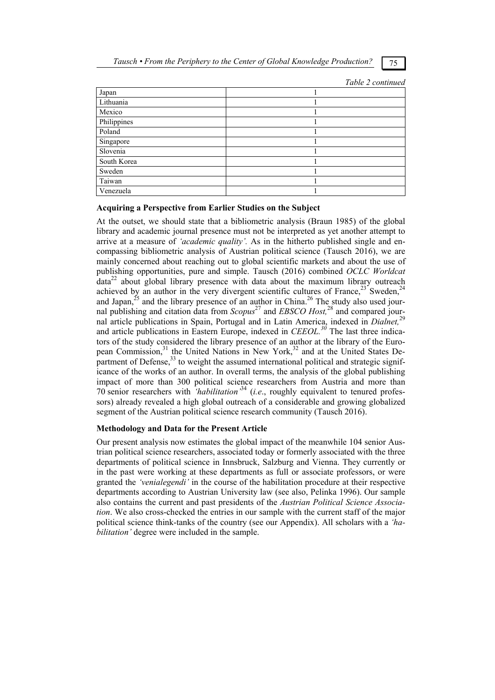|             | Table 2 continued |
|-------------|-------------------|
| Japan       |                   |
| Lithuania   |                   |
| Mexico      |                   |
| Philippines |                   |
| Poland      |                   |
| Singapore   |                   |
| Slovenia    |                   |
| South Korea |                   |
| Sweden      |                   |
| Taiwan      |                   |
| Venezuela   |                   |

## **Acquiring a Perspective from Earlier Studies on the Subject**

At the outset, we should state that a bibliometric analysis (Braun 1985) of the global library and academic journal presence must not be interpreted as yet another attempt to arrive at a measure of *'academic quality'.* As in the hitherto published single and encompassing bibliometric analysis of Austrian political science (Tausch 2016), we are mainly concerned about reaching out to global scientific markets and about the use of publishing opportunities, pure and simple. Tausch (2016) combined *OCLC Worldcat*   $data<sup>22</sup>$  about global library presence with data about the maximum library outreach achieved by an author in the very divergent scientific cultures of France,  $^{23}$  Sweden,  $^{24}$ and Japan, $^{25}$  and the library presence of an author in China.<sup>26</sup> The study also used journal publishing and citation data from *Scopus*27 and *EBSCO Host,*28 and compared journal article publications in Spain, Portugal and in Latin America, indexed in *Dialnet,*<sup>29</sup> and article publications in Eastern Europe, indexed in *CEEOL.<sup>30</sup>* The last three indicators of the study considered the library presence of an author at the library of the European Commission,<sup>31</sup> the United Nations in New York,<sup>32</sup> and at the United States Department of Defense, $33$  to weight the assumed international political and strategic significance of the works of an author. In overall terms, the analysis of the global publishing impact of more than 300 political science researchers from Austria and more than 70 senior researchers with *'habilitation'*34 (*i.e*., roughly equivalent to tenured professors) already revealed a high global outreach of a considerable and growing globalized segment of the Austrian political science research community (Tausch 2016).

## **Methodology and Data for the Present Article**

Our present analysis now estimates the global impact of the meanwhile 104 senior Austrian political science researchers, associated today or formerly associated with the three departments of political science in Innsbruck, Salzburg and Vienna. They currently or in the past were working at these departments as full or associate professors, or were granted the *'venialegendi'* in the course of the habilitation procedure at their respective departments according to Austrian University law (see also, Pelinka 1996). Our sample also contains the current and past presidents of the *Austrian Political Science Association*. We also cross-checked the entries in our sample with the current staff of the major political science think-tanks of the country (see our Appendix). All scholars with a *'habilitation'* degree were included in the sample.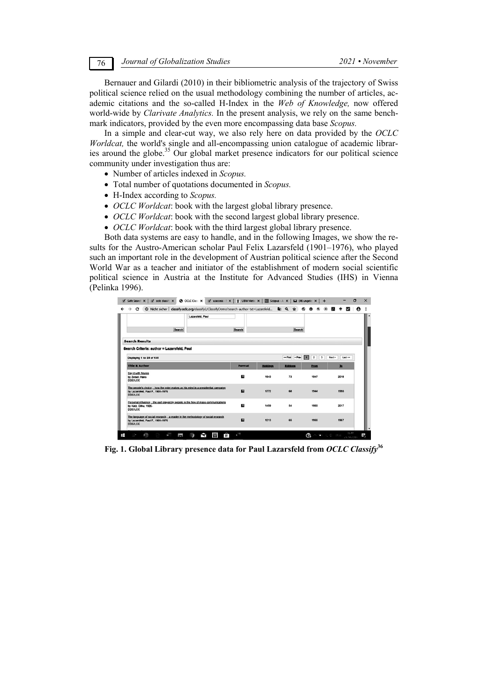Bernauer and Gilardi (2010) in their bibliometric analysis of the trajectory of Swiss political science relied on the usual methodology combining the number of articles, academic citations and the so-called H-Index in the *Web of Knowledge,* now offered world-wide by *Clarivate Analytics.* In the present analysis, we rely on the same benchmark indicators, provided by the even more encompassing data base *Scopus.*

In a simple and clear-cut way, we also rely here on data provided by the *OCLC Worldcat,* the world's single and all-encompassing union catalogue of academic libraries around the globe.<sup>35</sup> Our global market presence indicators for our political science community under investigation thus are:

- Number of articles indexed in *Scopus.*
- Total number of quotations documented in *Scopus.*
- H-Index according to *Scopus.*
- *OCLC Worldcat*: book with the largest global library presence.
- *OCLC Worldcat*: book with the second largest global library presence.
- *OCLC Worldcat*: book with the third largest global library presence.

Both data systems are easy to handle, and in the following Images, we show the results for the Austro-American scholar Paul Felix Lazarsfeld (1901–1976), who played such an important role in the development of Austrian political science after the Second World War as a teacher and initiator of the establishment of modern social scientific political science in Austria at the Institute for Advanced Studies (IHS) in Vienna (Pelinka 1996).

|                                                                                                                                         | Lazarsfeld, Paul |                |                 |                 |                                                    |                   |  |
|-----------------------------------------------------------------------------------------------------------------------------------------|------------------|----------------|-----------------|-----------------|----------------------------------------------------|-------------------|--|
| Search                                                                                                                                  |                  | Search         |                 | Search          |                                                    |                   |  |
| <b>Search Results</b>                                                                                                                   |                  |                |                 |                 |                                                    |                   |  |
| Search Criteria: author = Lazarsfeld, Paul                                                                                              |                  |                |                 |                 |                                                    |                   |  |
| Displaying 1 to 25 of 135                                                                                                               |                  |                |                 | ex First < Prev | $\overline{\mathbf{z}}$<br>$\mathbf{3}$<br>$\vert$ | Last >><br>Next > |  |
| <b>Title &amp; Author</b>                                                                                                               |                  | Format         | <b>Holdings</b> | Editions        | From                                               | P <sub>2</sub>    |  |
| Say it with figures<br>by Zeisel, Hans<br><b>DDC/LCC</b>                                                                                |                  | ш              | 1843            | 23              | 1947                                               | 2018              |  |
| The people's choice: : how the voter makes up his mind in a presidential campaign<br>by Lazarsfeld, Paul F., 1901-1976<br><b>DDCACC</b> |                  | ▫              | 1772            | 68              | 1944                                               | 1993              |  |
| Personal influence: : the part played by people in the flow of mass communications<br>by Katz, Elihu, 1926-<br><b>DDC/LCC</b>           |                  | ш              | 1459            | 54              | 1955                                               | 2017              |  |
| The language of social research: : a reader in the methodology of social research<br>by Lazarsfeld, Paul F., 1901-1976<br><b>DDCACC</b> |                  | $\blacksquare$ | 1213            | 65              | 1955                                               | 1967              |  |

**Fig. 1. Global Library presence data for Paul Lazarsfeld from** *OCLC Classify***<sup>36</sup>**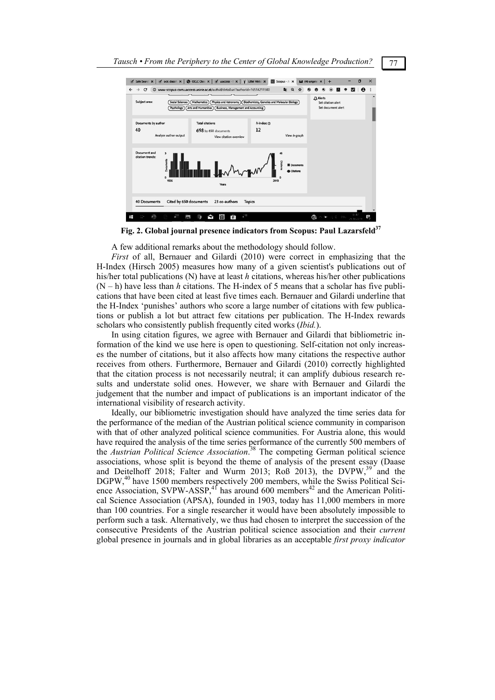

**Fig. 2. Global journal presence indicators from Scopus: Paul Lazarsfeld37**

A few additional remarks about the methodology should follow.

*First* of all, Bernauer and Gilardi (2010) were correct in emphasizing that the H-Index (Hirsch 2005) measures how many of a given scientist's publications out of his/her total publications (N) have at least *h* citations, whereas his/her other publications  $(N - h)$  have less than *h* citations. The H-index of 5 means that a scholar has five publications that have been cited at least five times each. Bernauer and Gilardi underline that the H-Index 'punishes' authors who score a large number of citations with few publications or publish a lot but attract few citations per publication. The H-Index rewards scholars who consistently publish frequently cited works (*Ibid.*).

In using citation figures, we agree with Bernauer and Gilardi that bibliometric information of the kind we use here is open to questioning. Self-citation not only increases the number of citations, but it also affects how many citations the respective author receives from others. Furthermore, Bernauer and Gilardi (2010) correctly highlighted that the citation process is not necessarily neutral; it can amplify dubious research results and understate solid ones. However, we share with Bernauer and Gilardi the judgement that the number and impact of publications is an important indicator of the international visibility of research activity.

Ideally, our bibliometric investigation should have analyzed the time series data for the performance of the median of the Austrian political science community in comparison with that of other analyzed political science communities. For Austria alone, this would have required the analysis of the time series performance of the currently 500 members of the *Austrian Political Science Association*. 38 The competing German political science associations, whose split is beyond the theme of analysis of the present essay (Daase and Deitelhoff 2018; Falter and Wurm 2013; Roß 2013), the DVPW,<sup>39</sup> and the DGPW,<sup>40</sup> have 1500 members respectively 200 members, while the Swiss Political Science Association, SVPW-ASSP, $^{4}$  has around 600 members<sup>42</sup> and the American Political Science Association (APSA), founded in 1903, today has 11,000 members in more than 100 countries. For a single researcher it would have been absolutely impossible to perform such a task. Alternatively, we thus had chosen to interpret the succession of the consecutive Presidents of the Austrian political science association and their *current* global presence in journals and in global libraries as an acceptable *first proxy indicator*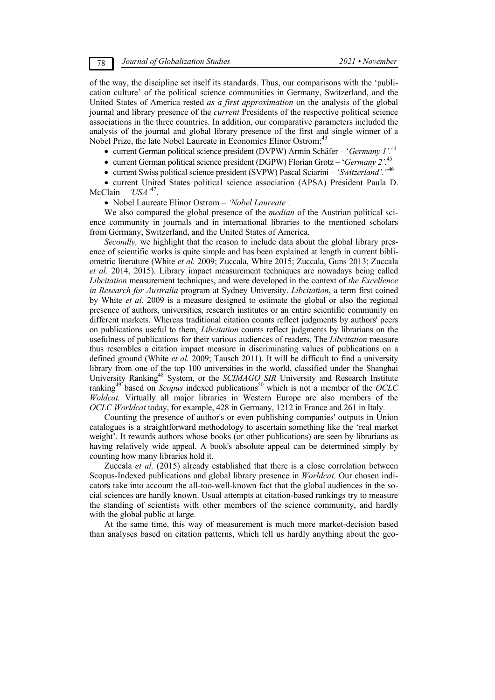of the way, the discipline set itself its standards. Thus, our comparisons with the 'publication culture' of the political science communities in Germany, Switzerland, and the United States of America rested *as a first approximation* on the analysis of the global journal and library presence of the *current* Presidents of the respective political science associations in the three countries. In addition, our comparative parameters included the analysis of the journal and global library presence of the first and single winner of a Nobel Prize, the late Nobel Laureate in Economics Elinor Ostrom:<sup>4</sup>

- current German political science president (DVPW) Armin Schäfer '*Germany 1'.*<sup>44</sup>
- current German political science president (DGPW) Florian Grotz '*Germany 2'.*<sup>45</sup>
- current Swiss political science president (SVPW) Pascal Sciarini '*Switzerland'."*<sup>46</sup>

 current United States political science association (APSA) President Paula D. McClain – *'USA'*47.

## Nobel Laureate Elinor Ostrom – *'Nobel Laureate'.*

We also compared the global presence of the *median* of the Austrian political science community in journals and in international libraries to the mentioned scholars from Germany, Switzerland, and the United States of America.

*Secondly,* we highlight that the reason to include data about the global library presence of scientific works is quite simple and has been explained at length in current bibliometric literature (White *et al.* 2009; Zuccala, White 2015; Zuccala, Guns 2013; Zuccala *et al.* 2014, 2015). Library impact measurement techniques are nowadays being called *Libcitation* measurement techniques, and were developed in the context of *the Excellence in Research for Australia* program at Sydney University. *Libcitation*, a term first coined by White *et al.* 2009 is a measure designed to estimate the global or also the regional presence of authors, universities, research institutes or an entire scientific community on different markets. Whereas traditional citation counts reflect judgments by authors' peers on publications useful to them, *Libcitation* counts reflect judgments by librarians on the usefulness of publications for their various audiences of readers. The *Libcitation* measure thus resembles a citation impact measure in discriminating values of publications on a defined ground (White *et al.* 2009; Tausch 2011). It will be difficult to find a university library from one of the top 100 universities in the world, classified under the Shanghai University Ranking48 System, or the *SCIMAGO SIR* University and Research Institute ranking<sup>49</sup> based on *Scopus* indexed publications<sup>50</sup> which is not a member of the *OCLC Woldcat.* Virtually all major libraries in Western Europe are also members of the *OCLC Worldcat* today, for example, 428 in Germany, 1212 in France and 261 in Italy.

Counting the presence of author's or even publishing companies' outputs in Union catalogues is a straightforward methodology to ascertain something like the 'real market weight'. It rewards authors whose books (or other publications) are seen by librarians as having relatively wide appeal. A book's absolute appeal can be determined simply by counting how many libraries hold it.

Zuccala *et al.* (2015) already established that there is a close correlation between Scopus-Indexed publications and global library presence in *Worldcat*. Our chosen indicators take into account the all-too-well-known fact that the global audiences in the social sciences are hardly known. Usual attempts at citation-based rankings try to measure the standing of scientists with other members of the science community, and hardly with the global public at large.

At the same time, this way of measurement is much more market-decision based than analyses based on citation patterns, which tell us hardly anything about the geo-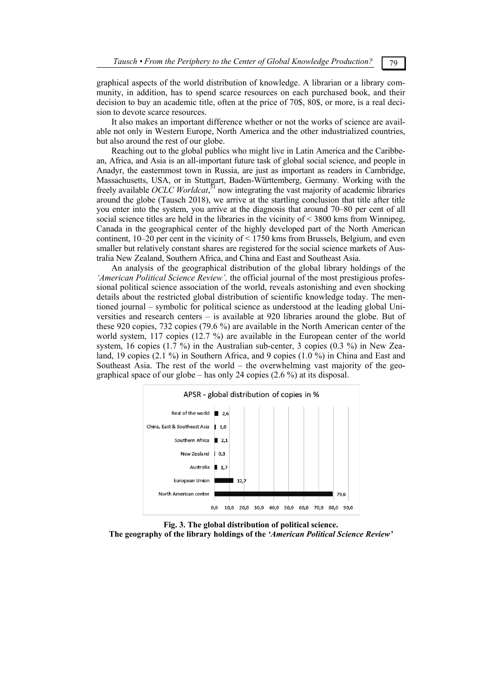graphical aspects of the world distribution of knowledge. A librarian or a library community, in addition, has to spend scarce resources on each purchased book, and their decision to buy an academic title, often at the price of 70\$, 80\$, or more, is a real decision to devote scarce resources.

It also makes an important difference whether or not the works of science are available not only in Western Europe, North America and the other industrialized countries, but also around the rest of our globe.

Reaching out to the global publics who might live in Latin America and the Caribbean, Africa, and Asia is an all-important future task of global social science, and people in Anadyr, the easternmost town in Russia, are just as important as readers in Cambridge, Massachusetts, USA, or in Stuttgart, Baden-Württemberg, Germany. Working with the freely available *OCLC Worldcat*,<sup>51</sup> now integrating the vast majority of academic libraries around the globe (Tausch 2018), we arrive at the startling conclusion that title after title you enter into the system, you arrive at the diagnosis that around 70–80 per cent of all social science titles are held in the libraries in the vicinity of  $\leq$  3800 kms from Winnipeg, Canada in the geographical center of the highly developed part of the North American continent, 10–20 per cent in the vicinity of < 1750 kms from Brussels, Belgium, and even smaller but relatively constant shares are registered for the social science markets of Australia New Zealand, Southern Africa, and China and East and Southeast Asia.

An analysis of the geographical distribution of the global library holdings of the *'American Political Science Review',* the official journal of the most prestigious professional political science association of the world, reveals astonishing and even shocking details about the restricted global distribution of scientific knowledge today. The mentioned journal – symbolic for political science as understood at the leading global Universities and research centers – is available at 920 libraries around the globe. But of these 920 copies, 732 copies (79.6 %) are available in the North American center of the world system, 117 copies (12.7 %) are available in the European center of the world system, 16 copies (1.7 %) in the Australian sub-center, 3 copies (0.3 %) in New Zealand, 19 copies (2.1 %) in Southern Africa, and 9 copies (1.0 %) in China and East and Southeast Asia. The rest of the world – the overwhelming vast majority of the geographical space of our globe – has only 24 copies (2.6 %) at its disposal.



**Fig. 3. The global distribution of political science. The geography of the library holdings of the** *'American Political Science Review'*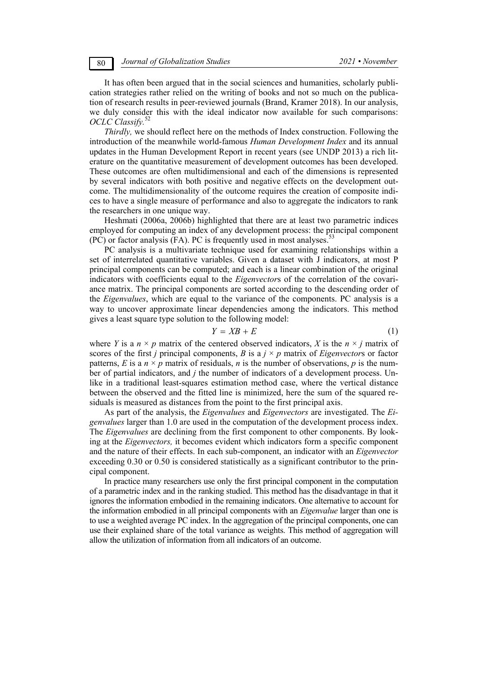It has often been argued that in the social sciences and humanities, scholarly publication strategies rather relied on the writing of books and not so much on the publication of research results in peer-reviewed journals (Brand, Kramer 2018). In our analysis, we duly consider this with the ideal indicator now available for such comparisons: *OCLC Classify.*<sup>52</sup>

*Thirdly,* we should reflect here on the methods of Index construction. Following the introduction of the meanwhile world-famous *Human Development Index* and its annual updates in the Human Development Report in recent years (see UNDP 2013) a rich literature on the quantitative measurement of development outcomes has been developed. These outcomes are often multidimensional and each of the dimensions is represented by several indicators with both positive and negative effects on the development outcome. The multidimensionality of the outcome requires the creation of composite indices to have a single measure of performance and also to aggregate the indicators to rank the researchers in one unique way.

Heshmati (2006a, 2006b) highlighted that there are at least two parametric indices employed for computing an index of any development process: the principal component  $(PC)$  or factor analysis (FA). PC is frequently used in most analyses.<sup>5</sup>

PC analysis is a multivariate technique used for examining relationships within a set of interrelated quantitative variables. Given a dataset with J indicators, at most P principal components can be computed; and each is a linear combination of the original indicators with coefficients equal to the *Eigenvector*s of the correlation of the covariance matrix. The principal components are sorted according to the descending order of the *Eigenvalues*, which are equal to the variance of the components. PC analysis is a way to uncover approximate linear dependencies among the indicators. This method gives a least square type solution to the following model:

$$
Y = XB + E \tag{1}
$$

where *Y* is a  $n \times p$  matrix of the centered observed indicators, *X* is the  $n \times j$  matrix of scores of the first *j* principal components, *B* is a  $j \times p$  matrix of *Eigenvectors* or factor patterns, *E* is a  $n \times p$  matrix of residuals, *n* is the number of observations, *p* is the number of partial indicators, and *j* the number of indicators of a development process. Unlike in a traditional least-squares estimation method case, where the vertical distance between the observed and the fitted line is minimized, here the sum of the squared residuals is measured as distances from the point to the first principal axis.

As part of the analysis, the *Eigenvalues* and *Eigenvectors* are investigated. The *Eigenvalues* larger than 1.0 are used in the computation of the development process index. The *Eigenvalues* are declining from the first component to other components. By looking at the *Eigenvectors,* it becomes evident which indicators form a specific component and the nature of their effects. In each sub-component, an indicator with an *Eigenvector* exceeding 0.30 or 0.50 is considered statistically as a significant contributor to the principal component.

In practice many researchers use only the first principal component in the computation of a parametric index and in the ranking studied. This method has the disadvantage in that it ignores the information embodied in the remaining indicators. One alternative to account for the information embodied in all principal components with an *Eigenvalue* larger than one is to use a weighted average PC index. In the aggregation of the principal components, one can use their explained share of the total variance as weights. This method of aggregation will allow the utilization of information from all indicators of an outcome.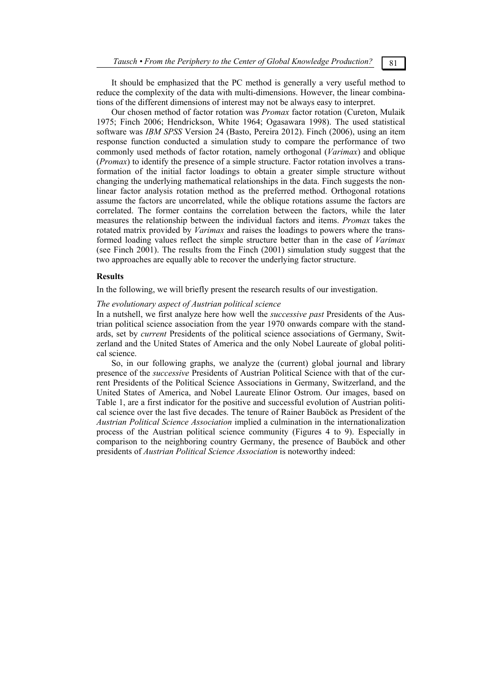It should be emphasized that the PC method is generally a very useful method to reduce the complexity of the data with multi-dimensions. However, the linear combinations of the different dimensions of interest may not be always easy to interpret.

Our chosen method of factor rotation was *Promax* factor rotation (Cureton, Mulaik 1975; Finch 2006; Hendrickson, White 1964; Ogasawara 1998). The used statistical software was *IBM SPSS* Version 24 (Basto, Pereira 2012). Finch (2006), using an item response function conducted a simulation study to compare the performance of two commonly used methods of factor rotation, namely orthogonal (*Varimax*) and oblique (*Promax*) to identify the presence of a simple structure. Factor rotation involves a transformation of the initial factor loadings to obtain a greater simple structure without changing the underlying mathematical relationships in the data. Finch suggests the nonlinear factor analysis rotation method as the preferred method. Orthogonal rotations assume the factors are uncorrelated, while the oblique rotations assume the factors are correlated. The former contains the correlation between the factors, while the later measures the relationship between the individual factors and items. *Promax* takes the rotated matrix provided by *Varimax* and raises the loadings to powers where the transformed loading values reflect the simple structure better than in the case of *Varimax* (see Finch 2001). The results from the Finch (2001) simulation study suggest that the two approaches are equally able to recover the underlying factor structure.

## **Results**

In the following, we will briefly present the research results of our investigation.

## *The evolutionary aspect of Austrian political science*

In a nutshell, we first analyze here how well the *successive past* Presidents of the Austrian political science association from the year 1970 onwards compare with the standards, set by *current* Presidents of the political science associations of Germany, Switzerland and the United States of America and the only Nobel Laureate of global political science.

So, in our following graphs, we analyze the (current) global journal and library presence of the *successive* Presidents of Austrian Political Science with that of the current Presidents of the Political Science Associations in Germany, Switzerland, and the United States of America, and Nobel Laureate Elinor Ostrom. Our images, based on Table 1, are a first indicator for the positive and successful evolution of Austrian political science over the last five decades. The tenure of Rainer Bauböck as President of the *Austrian Political Science Association* implied a culmination in the internationalization process of the Austrian political science community (Figures 4 to 9). Especially in comparison to the neighboring country Germany, the presence of Bauböck and other presidents of *Austrian Political Science Association* is noteworthy indeed: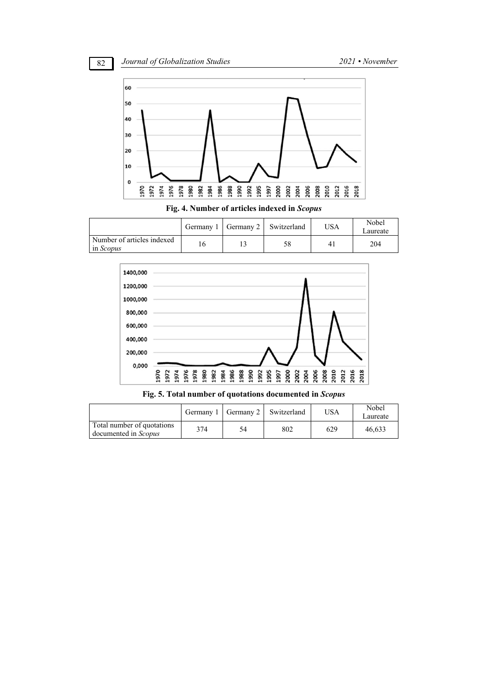



**Fig. 4. Number of articles indexed in** *Scopus*

|                                                |  | Germany 1   Germany 2   Switzerland | USA            | Nobel<br>∟aureate |
|------------------------------------------------|--|-------------------------------------|----------------|-------------------|
| Number of articles indexed<br>in <i>Scopus</i> |  | 58                                  | 4 <sub>1</sub> | 204               |



**Fig. 5. Total number of quotations documented in** *Scopus*

|                                                           |     |    | Germany 1   Germany 2   Switzerland | USA | Nobel<br>Laureate |
|-----------------------------------------------------------|-----|----|-------------------------------------|-----|-------------------|
| Total number of quotations<br>documented in <i>Scopus</i> | 374 | 54 | 802                                 | 629 | 46,633            |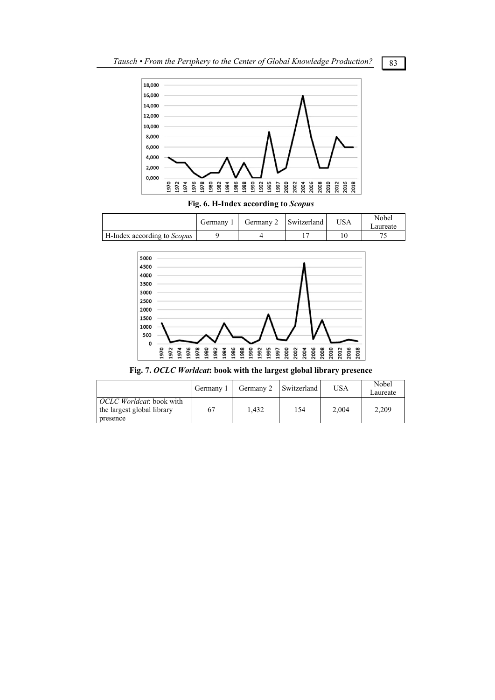

**Fig. 6. H-Index according to** *Scopus*

|                                    | Germany | Germany 2   Switzerland | USA | Nobel<br>∟aureate |
|------------------------------------|---------|-------------------------|-----|-------------------|
| H-Index according to <i>Scopus</i> |         |                         |     |                   |



**Fig. 7.** *OCLC Worldcat***: book with the largest global library presence** 

|                                                               | Germany 1 |       | Germany 2   Switzerland | USA   | Nobel<br>Laureate |
|---------------------------------------------------------------|-----------|-------|-------------------------|-------|-------------------|
| <i>OCLC Worldcat:</i> book with<br>the largest global library | 67        | 1.432 | 154                     | 2.004 | 2.209             |
| presence                                                      |           |       |                         |       |                   |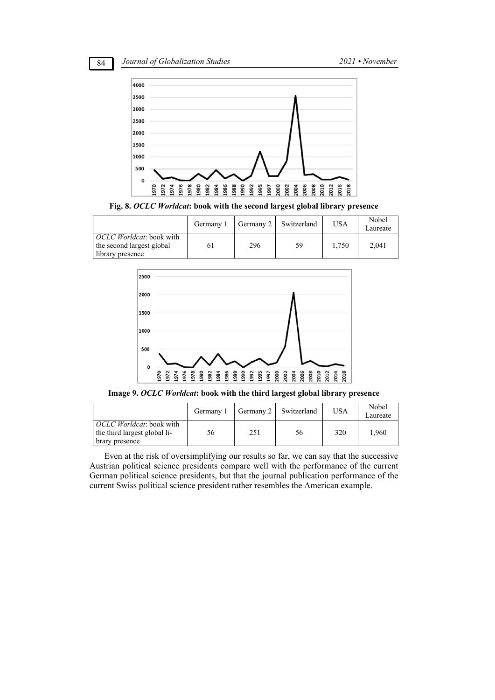84 *Journal of Globalization Studies 2021 • November* 



**Fig. 8.** *OCLC Worldcat***: book with the second largest global library presence** 

|                                                                                   | Germany 1 |     | Germany 2 Switzerland | USA   | Nobel<br>Laureate |
|-----------------------------------------------------------------------------------|-----------|-----|-----------------------|-------|-------------------|
| <i>OCLC Worldcat</i> : book with<br>the second largest global<br>library presence | 61        | 296 | 59                    | 1.750 | 2.041             |



**Image 9.** *OCLC Worldcat***: book with the third largest global library presence** 

|                                                                                    | Germany 1 |     | Germany 2 Switzerland | USA | Nobel<br>Laureate |
|------------------------------------------------------------------------------------|-----------|-----|-----------------------|-----|-------------------|
| <i>OCLC Worldcat</i> : book with<br>the third largest global li-<br>brary presence | 56        | 251 | 56                    | 320 | 1.960             |

Even at the risk of oversimplifying our results so far, we can say that the successive Austrian political science presidents compare well with the performance of the current German political science presidents, but that the journal publication performance of the current Swiss political science president rather resembles the American example.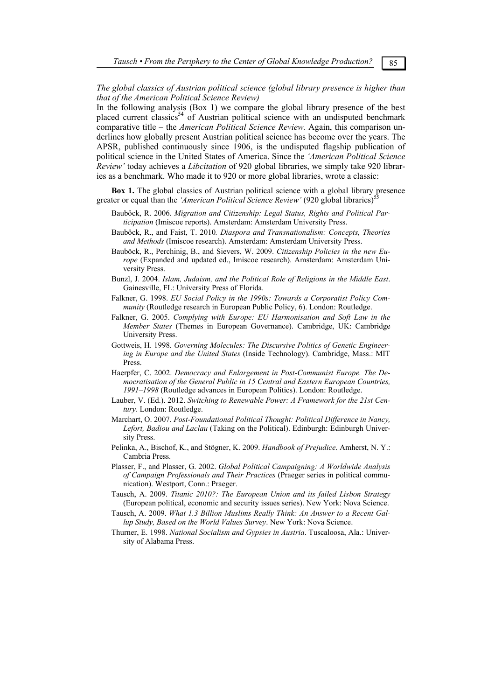## *The global classics of Austrian political science (global library presence is higher than that of the American Political Science Review)*

In the following analysis (Box 1) we compare the global library presence of the best placed current classics<sup>54</sup> of Austrian political science with an undisputed benchmark comparative title – the *American Political Science Review.* Again, this comparison underlines how globally present Austrian political science has become over the years. The APSR, published continuously since 1906, is the undisputed flagship publication of political science in the United States of America. Since the *'American Political Science Review'* today achieves a *Libcitation* of 920 global libraries, we simply take 920 libraries as a benchmark. Who made it to 920 or more global libraries, wrote a classic:

**Box 1.** The global classics of Austrian political science with a global library presence greater or equal than the *'American Political Science Review'* (920 global libraries)<sup>5</sup>

- Bauböck, R. 2006. *Migration and Citizenship: Legal Status, Rights and Political Participation* (Imiscoe reports). Amsterdam: Amsterdam University Press.
- Bauböck, R., and Faist, T. 2010*. Diaspora and Transnationalism: Concepts, Theories and Methods* (Imiscoe research). Amsterdam: Amsterdam University Press.
- Bauböck, R., Perchinig, B., and Sievers, W. 2009. *Citizenship Policies in the new Europe* (Expanded and updated ed., Imiscoe research). Amsterdam: Amsterdam University Press.
- Bunzl, J. 2004. *Islam, Judaism, and the Political Role of Religions in the Middle East*. Gainesville, FL: University Press of Florida.
- Falkner, G. 1998. *EU Social Policy in the 1990s: Towards a Corporatist Policy Community* (Routledge research in European Public Policy, 6). London: Routledge.
- Falkner, G. 2005. *Complying with Europe: EU Harmonisation and Soft Law in the Member States* (Themes in European Governance). Cambridge, UK: Cambridge University Press.
- Gottweis, H. 1998. *Governing Molecules: The Discursive Politics of Genetic Engineering in Europe and the United States* (Inside Technology). Cambridge, Mass.: MIT Press.
- Haerpfer, C. 2002. *Democracy and Enlargement in Post-Communist Europe. The Democratisation of the General Public in 15 Central and Eastern European Countries, 1991–1998* (Routledge advances in European Politics). London: Routledge.
- Lauber, V. (Ed.). 2012. *Switching to Renewable Power: A Framework for the 21st Century*. London: Routledge.
- Marchart, O. 2007. *Post-Foundational Political Thought: Political Difference in Nancy, Lefort, Badiou and Laclau* (Taking on the Political). Edinburgh: Edinburgh University Press.
- Pelinka, A., Bischof, K., and Stögner, K. 2009. *Handbook of Prejudice*. Amherst, N. Y.: Cambria Press.
- Plasser, F., and Plasser, G. 2002. *Global Political Campaigning: A Worldwide Analysis of Campaign Professionals and Their Practices* (Praeger series in political communication). Westport, Conn.: Praeger.
- Tausch, A. 2009. *Titanic 2010?: The European Union and its failed Lisbon Strategy* (European political, economic and security issues series). New York: Nova Science.
- Tausch, A. 2009. *What 1.3 Billion Muslims Really Think: An Answer to a Recent Gallup Study, Based on the World Values Survey*. New York: Nova Science.
- Thurner, E. 1998. *National Socialism and Gypsies in Austria*. Tuscaloosa, Ala.: University of Alabama Press.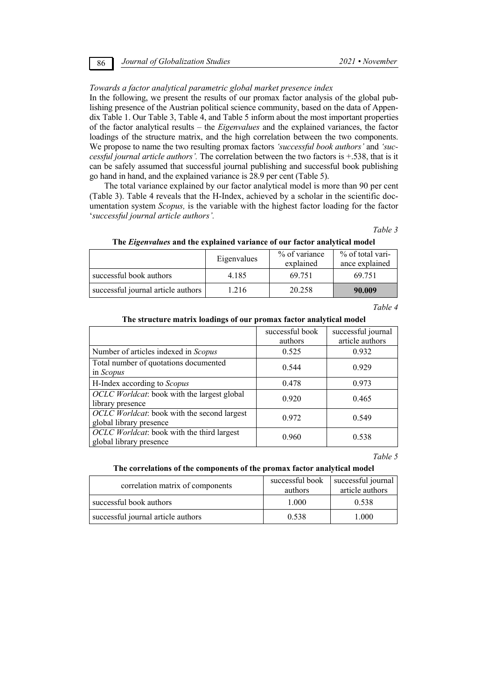## *Towards a factor analytical parametric global market presence index*

In the following, we present the results of our promax factor analysis of the global publishing presence of the Austrian political science community, based on the data of Appendix Table 1. Our Table 3, Table 4, and Table 5 inform about the most important properties of the factor analytical results – the *Eigenvalues* and the explained variances, the factor loadings of the structure matrix, and the high correlation between the two components. We propose to name the two resulting promax factors *'successful book authors'* and *'successful journal article authors'.* The correlation between the two factors is +.538, that is it can be safely assumed that successful journal publishing and successful book publishing go hand in hand, and the explained variance is 28.9 per cent (Table 5).

The total variance explained by our factor analytical model is more than 90 per cent (Table 3). Table 4 reveals that the H-Index, achieved by a scholar in the scientific documentation system *Scopus,* is the variable with the highest factor loading for the factor '*successful journal article authors'.*

*Table 3* 

| The Eigenvalues and the explained variance of our factor analytical model |  |  |  |  |
|---------------------------------------------------------------------------|--|--|--|--|
|                                                                           |  |  |  |  |

|                                    | Eigenvalues | % of variance<br>explained | % of total vari-<br>ance explained |
|------------------------------------|-------------|----------------------------|------------------------------------|
| successful book authors            | 4.185       | 69.751                     | 69.751                             |
| successful journal article authors | 216         | 20.258                     | 90.009                             |

*Table 4* 

## **The structure matrix loadings of our promax factor analytical model**

|                                                                                | successful book<br>authors | successful journal<br>article authors |
|--------------------------------------------------------------------------------|----------------------------|---------------------------------------|
| Number of articles indexed in Scopus                                           | 0.525                      | 0.932                                 |
| Total number of quotations documented<br>in Scopus                             | 0.544                      | 0.929                                 |
| H-Index according to Scopus                                                    | 0.478                      | 0.973                                 |
| <i>OCLC Worldcat</i> : book with the largest global<br>library presence        | 0.920                      | 0.465                                 |
| <i>OCLC Worldcat</i> : book with the second largest<br>global library presence | 0.972                      | 0.549                                 |
| <i>OCLC Worldcat</i> : book with the third largest<br>global library presence  | 0.960                      | 0.538                                 |

### *Table 5*

### **The correlations of the components of the promax factor analytical model**

| correlation matrix of components   | successful book<br>authors | successful journal<br>article authors |  |
|------------------------------------|----------------------------|---------------------------------------|--|
| successful book authors            | 1.000                      | 0.538                                 |  |
| successful journal article authors | 0.538                      | L.000                                 |  |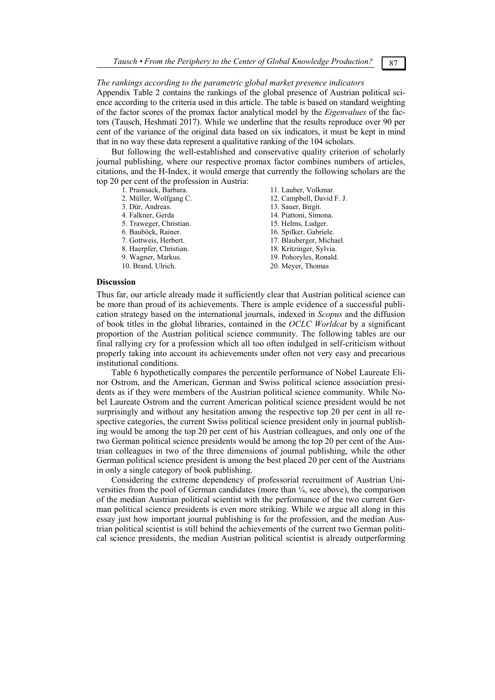## *The rankings according to the parametric global market presence indicators*

Appendix Table 2 contains the rankings of the global presence of Austrian political science according to the criteria used in this article. The table is based on standard weighting of the factor scores of the promax factor analytical model by the *Eigenvalues* of the factors (Tausch, Heshmati 2017). While we underline that the results reproduce over 90 per cent of the variance of the original data based on six indicators, it must be kept in mind that in no way these data represent a qualitative ranking of the 104 scholars.

But following the well-established and conservative quality criterion of scholarly journal publishing, where our respective promax factor combines numbers of articles, citations, and the H-Index, it would emerge that currently the following scholars are the top 20 per cent of the profession in Austria:

1. Prainsack, Barbara.

- 2. Müller, Wolfgang C.
- 3. Dür, Andreas.
- 4. Falkner, Gerda
- 5. Traweger, Christian.
- 6. Bauböck, Rainer.
- 7. Gottweis, Herbert.
- 8. Haerpfer, Christian.
- 9. Wagner, Markus.
- 10. Brand, Ulrich.

12. Campbell, David F. J. 13. Sauer, Birgit. 14. Piattoni, Simona. 15. Helms, Ludger. 16. Spilker, Gabriele. 17. Blauberger, Michael. 18. Kritzinger, Sylvia. 19. Pohoryles, Ronald.

11. Lauber, Volkmar.

20. Meyer, Thomas

## **Discussion**

Thus far, our article already made it sufficiently clear that Austrian political science can be more than proud of its achievements. There is ample evidence of a successful publication strategy based on the international journals, indexed in *Scopus* and the diffusion of book titles in the global libraries, contained in the *OCLC Worldcat* by a significant proportion of the Austrian political science community. The following tables are our final rallying cry for a profession which all too often indulged in self-criticism without properly taking into account its achievements under often not very easy and precarious institutional conditions.

Table 6 hypothetically compares the percentile performance of Nobel Laureate Elinor Ostrom, and the American, German and Swiss political science association presidents as if they were members of the Austrian political science community. While Nobel Laureate Ostrom and the current American political science president would be not surprisingly and without any hesitation among the respective top 20 per cent in all respective categories, the current Swiss political science president only in journal publishing would be among the top 20 per cent of his Austrian colleagues, and only one of the two German political science presidents would be among the top 20 per cent of the Austrian colleagues in two of the three dimensions of journal publishing, while the other German political science president is among the best placed 20 per cent of the Austrians in only a single category of book publishing.

Considering the extreme dependency of professorial recruitment of Austrian Universities from the pool of German candidates (more than  $\frac{1}{4}$ , see above), the comparison of the median Austrian political scientist with the performance of the two current German political science presidents is even more striking. While we argue all along in this essay just how important journal publishing is for the profession, and the median Austrian political scientist is still behind the achievements of the current two German political science presidents, the median Austrian political scientist is already outperforming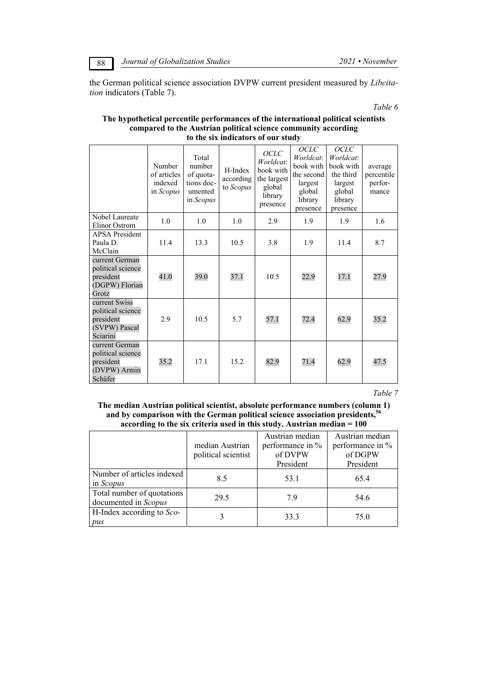the German political science association DVPW current president measured by *Libcitation* indicators (Table 7).

*Table 6* 

## **The hypothetical percentile performances of the international political scientists compared to the Austrian political science community according to the six indicators of our study**

|                                                                              | Number<br>of articles<br>indexed<br>in <i>Scopus</i> | Total<br>number<br>of quota-<br>tions doc-<br>umented<br>in Scopus | H-Index<br>according<br>to Scopus | <b>OCLC</b><br>Worldcat:<br>book with<br>the largest<br>global<br>library<br>presence | <b>OCLC</b><br>Worldcat:<br>book with<br>the second<br>largest<br>global<br>library<br>presence | <b>OCLC</b><br>Worldcat:<br>book with<br>the third<br>largest<br>global<br>library<br>presence | average<br>percentile<br>perfor-<br>mance |
|------------------------------------------------------------------------------|------------------------------------------------------|--------------------------------------------------------------------|-----------------------------------|---------------------------------------------------------------------------------------|-------------------------------------------------------------------------------------------------|------------------------------------------------------------------------------------------------|-------------------------------------------|
| Nobel Laureate<br>Elinor Ostrom                                              | 1.0                                                  | 1.0                                                                | 1.0                               | 2.9                                                                                   | 1.9                                                                                             | 1.9                                                                                            | 1.6                                       |
| <b>APSA</b> President<br>Paula D.<br>McClain                                 | 11.4                                                 | 13.3                                                               | 10.5                              | 3.8                                                                                   | 1.9                                                                                             | 11.4                                                                                           | 8.7                                       |
| current German<br>political science<br>president<br>(DGPW) Florian<br>Grotz  | 41.0                                                 | 39.0                                                               | 37.1                              | 10.5                                                                                  | 22.9                                                                                            | 17.1                                                                                           | 27.9                                      |
| current Swiss<br>political science<br>president<br>(SVPW) Pascal<br>Sciarini | 2.9                                                  | 10.5                                                               | 5.7                               | 57.1                                                                                  | 72.4                                                                                            | 62.9                                                                                           | 35.2                                      |
| current German<br>political science<br>president<br>(DVPW) Armin<br>Schäfer  | 35.2                                                 | 17.1                                                               | 15.2                              | 82.9                                                                                  | 71.4                                                                                            | 62.9                                                                                           | 47.5                                      |

*Table 7* 

**The median Austrian political scientist, absolute performance numbers (column 1) and by comparison with the German political science association presidents,56 according to the six criteria used in this study. Austrian median = 100** 

|                                                    | median Austrian<br>political scientist | Austrian median<br>performance in %<br>of DVPW<br>President | Austrian median<br>performance in %<br>of DGPW<br>President |
|----------------------------------------------------|----------------------------------------|-------------------------------------------------------------|-------------------------------------------------------------|
| Number of articles indexed<br>in <i>Scopus</i>     | 8.5                                    | 53.1                                                        | 65.4                                                        |
| Total number of quotations<br>documented in Scopus | 29.5                                   | 79                                                          | 54.6                                                        |
| H-Index according to Sco-<br>pus                   | 3                                      | 33.3                                                        | 75.0                                                        |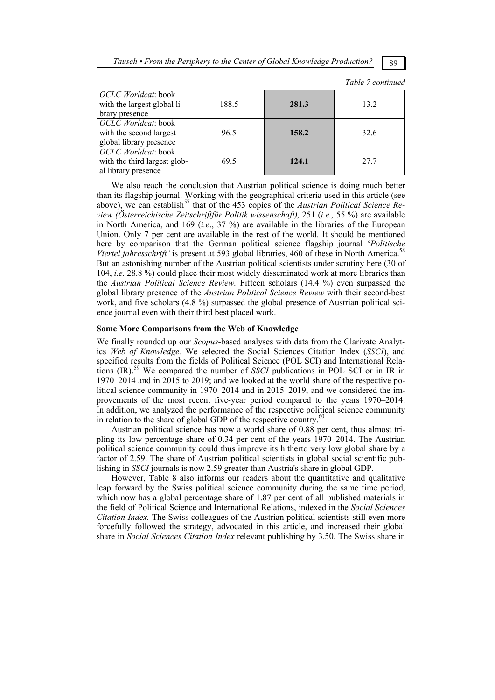*Tausch* • From the Periphery to the Center of Global Knowledge Production? **89** 

 $T_{11}$   $T_{22}$ 

|                                                                              |       |       | 1 аріе / сопитиес |
|------------------------------------------------------------------------------|-------|-------|-------------------|
| <i>OCLC Worldcat</i> : book<br>with the largest global li-<br>brary presence | 188.5 | 281.3 | 13.2              |
| OCLC Worldcat: book<br>with the second largest<br>global library presence    | 96.5  | 158.2 | 32.6              |
| OCLC Worldcat: book<br>with the third largest glob-<br>al library presence   | 69.5  | 124.1 | 27.7              |

We also reach the conclusion that Austrian political science is doing much better than its flagship journal. Working with the geographical criteria used in this article (see above), we can establish<sup>57</sup> that of the 453 copies of the *Austrian Political Science Review (Österreichische Zeitschriftfür Politik wissenschaft),* 251 (*i.e.,* 55 %) are available in North America, and 169 (*i.e*., 37 %) are available in the libraries of the European Union. Only 7 per cent are available in the rest of the world. It should be mentioned here by comparison that the German political science flagship journal '*Politische Viertel jahresschrift'* is present at 593 global libraries, 460 of these in North America.<sup>5</sup> But an astonishing number of the Austrian political scientists under scrutiny here (30 of 104, *i.e*. 28.8 %) could place their most widely disseminated work at more libraries than the *Austrian Political Science Review.* Fifteen scholars (14.4 %) even surpassed the global library presence of the *Austrian Political Science Review* with their second-best work, and five scholars (4.8 %) surpassed the global presence of Austrian political science journal even with their third best placed work.

## **Some More Comparisons from the Web of Knowledge**

We finally rounded up our *Scopus*-based analyses with data from the Clarivate Analytics *Web of Knowledge.* We selected the Social Sciences Citation Index (*SSCI*), and specified results from the fields of Political Science (POL SCI) and International Relations (IR).59 We compared the number of *SSCI* publications in POL SCI or in IR in 1970–2014 and in 2015 to 2019; and we looked at the world share of the respective political science community in 1970–2014 and in 2015–2019, and we considered the improvements of the most recent five-year period compared to the years 1970–2014. In addition, we analyzed the performance of the respective political science community in relation to the share of global GDP of the respective country.<sup>60</sup>

Austrian political science has now a world share of 0.88 per cent, thus almost tripling its low percentage share of 0.34 per cent of the years 1970–2014. The Austrian political science community could thus improve its hitherto very low global share by a factor of 2.59. The share of Austrian political scientists in global social scientific publishing in *SSCI* journals is now 2.59 greater than Austria's share in global GDP.

However, Table 8 also informs our readers about the quantitative and qualitative leap forward by the Swiss political science community during the same time period, which now has a global percentage share of 1.87 per cent of all published materials in the field of Political Science and International Relations, indexed in the *Social Sciences Citation Index.* The Swiss colleagues of the Austrian political scientists still even more forcefully followed the strategy, advocated in this article, and increased their global share in *Social Sciences Citation Index* relevant publishing by 3.50. The Swiss share in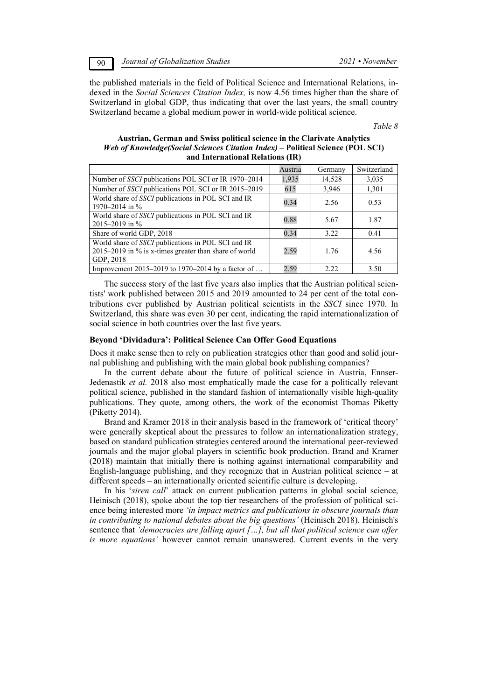90 *Journal of Globalization Studies 2021 • November* 

the published materials in the field of Political Science and International Relations, indexed in the *Social Sciences Citation Index,* is now 4.56 times higher than the share of Switzerland in global GDP, thus indicating that over the last years, the small country Switzerland became a global medium power in world-wide political science.

*Table 8* 

## **Austrian, German and Swiss political science in the Clarivate Analytics**  *Web of Knowledge(Social Sciences Citation Index)* **– Political Science (POL SCI) and International Relations (IR)**

|                                                                                                                          | Austria | Germany | Switzerland |
|--------------------------------------------------------------------------------------------------------------------------|---------|---------|-------------|
| Number of <i>SSCI</i> publications POL SCI or IR 1970–2014                                                               | 1,935   | 14,528  | 3,035       |
| Number of SSCI publications POL SCI or IR 2015-2019                                                                      | 615     | 3,946   | 1,301       |
| World share of SSCI publications in POL SCI and IR<br>1970–2014 in %                                                     | 0.34    | 2.56    | 0.53        |
| World share of SSCI publications in POL SCI and IR<br>2015–2019 in $%$                                                   | 0.88    | 5.67    | 1.87        |
| Share of world GDP, 2018                                                                                                 | 0.34    | 3.22    | 0.41        |
| World share of SSCI publications in POL SCI and IR<br>2015–2019 in % is x-times greater than share of world<br>GDP, 2018 | 2.59    | 1.76    | 4.56        |
| Improvement 2015–2019 to 1970–2014 by a factor of                                                                        | 2.59    | 222     | 3.50        |

The success story of the last five years also implies that the Austrian political scientists' work published between 2015 and 2019 amounted to 24 per cent of the total contributions ever published by Austrian political scientists in the *SSCI* since 1970. In Switzerland, this share was even 30 per cent, indicating the rapid internationalization of social science in both countries over the last five years.

### **Beyond 'Dividadura': Political Science Can Offer Good Equations**

Does it make sense then to rely on publication strategies other than good and solid journal publishing and publishing with the main global book publishing companies?

In the current debate about the future of political science in Austria, Ennser-Jedenastik *et al.* 2018 also most emphatically made the case for a politically relevant political science, published in the standard fashion of internationally visible high-quality publications. They quote, among others, the work of the economist Thomas Piketty (Piketty 2014).

Brand and Kramer 2018 in their analysis based in the framework of 'critical theory' were generally skeptical about the pressures to follow an internationalization strategy, based on standard publication strategies centered around the international peer-reviewed journals and the major global players in scientific book production. Brand and Kramer (2018) maintain that initially there is nothing against international comparability and English-language publishing, and they recognize that in Austrian political science  $-$  at different speeds – an internationally oriented scientific culture is developing.

In his '*siren call*' attack on current publication patterns in global social science, Heinisch (2018), spoke about the top tier researchers of the profession of political science being interested more *'in impact metrics and publications in obscure journals than in contributing to national debates about the big questions'* (Heinisch 2018). Heinisch's sentence that *'democracies are falling apart […], but all that political science can offer is more equations'* however cannot remain unanswered. Current events in the very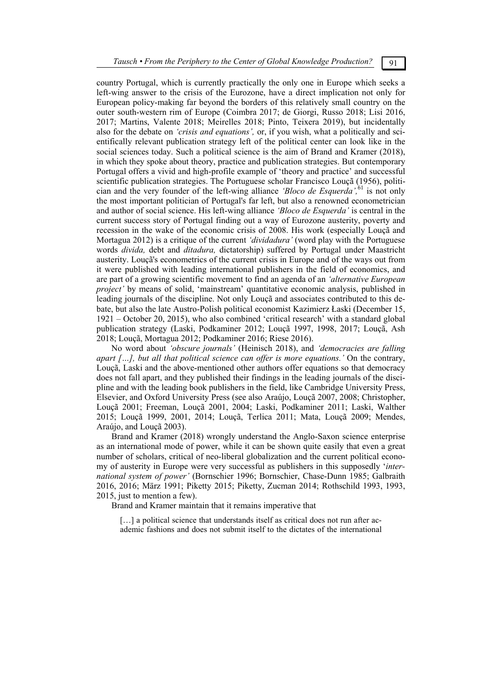country Portugal, which is currently practically the only one in Europe which seeks a left-wing answer to the crisis of the Eurozone, have a direct implication not only for European policy-making far beyond the borders of this relatively small country on the outer south-western rim of Europe (Coimbra 2017; de Giorgi, Russo 2018; Lisi 2016, 2017; Martins, Valente 2018; Meirelles 2018; Pinto, Teixera 2019), but incidentally also for the debate on *'crisis and equations',* or, if you wish, what a politically and scientifically relevant publication strategy left of the political center can look like in the social sciences today. Such a political science is the aim of Brand and Kramer (2018), in which they spoke about theory, practice and publication strategies. But contemporary Portugal offers a vivid and high-profile example of 'theory and practice' and successful scientific publication strategies. The Portuguese scholar Francisco Louçã (1956), politician and the very founder of the left-wing alliance *'Bloco de Esquerda',*61 is not only the most important politician of Portugal's far left, but also a renowned econometrician and author of social science. His left-wing alliance *'Bloco de Esquerda'* is central in the current success story of Portugal finding out a way of Eurozone austerity, poverty and recession in the wake of the economic crisis of 2008. His work (especially Louçã and Mortagua 2012) is a critique of the current *'dividadura'* (word play with the Portuguese words *divida,* debt and *ditadura,* dictatorship) suffered by Portugal under Maastricht austerity. Louçã's econometrics of the current crisis in Europe and of the ways out from it were published with leading international publishers in the field of economics, and are part of a growing scientific movement to find an agenda of an *'alternative European project'* by means of solid, 'mainstream' quantitative economic analysis, published in leading journals of the discipline. Not only Louçã and associates contributed to this debate, but also the late Austro-Polish political economist Kazimierz Łaski (December 15, 1921 – October 20, 2015), who also combined 'critical research' with a standard global publication strategy (Laski, Podkaminer 2012; Louçã 1997, 1998, 2017; Louçã, Ash 2018; Louçã, Mortagua 2012; Podkaminer 2016; Riese 2016).

No word about *'obscure journals'* (Heinisch 2018), and *'democracies are falling apart […], but all that political science can offer is more equations.'* On the contrary, Louçã, Laski and the above-mentioned other authors offer equations so that democracy does not fall apart, and they published their findings in the leading journals of the discipline and with the leading book publishers in the field, like Cambridge University Press, Elsevier, and Oxford University Press (see also Araújo, Louçã 2007, 2008; Christopher, Louçã 2001; Freeman, Louçã 2001, 2004; Laski, Podkaminer 2011; Laski, Walther 2015; Louçã 1999, 2001, 2014; Louçã, Terlica 2011; Mata, Louçã 2009; Mendes, Araújo, and Louçã 2003).

Brand and Kramer (2018) wrongly understand the Anglo-Saxon science enterprise as an international mode of power, while it can be shown quite easily that even a great number of scholars, critical of neo-liberal globalization and the current political economy of austerity in Europe were very successful as publishers in this supposedly '*international system of power'* (Bornschier 1996; Bornschier, Chase-Dunn 1985; Galbraith 2016, 2016; März 1991; Piketty 2015; Piketty, Zucman 2014; Rothschild 1993, 1993, 2015, just to mention a few).

Brand and Kramer maintain that it remains imperative that

[...] a political science that understands itself as critical does not run after academic fashions and does not submit itself to the dictates of the international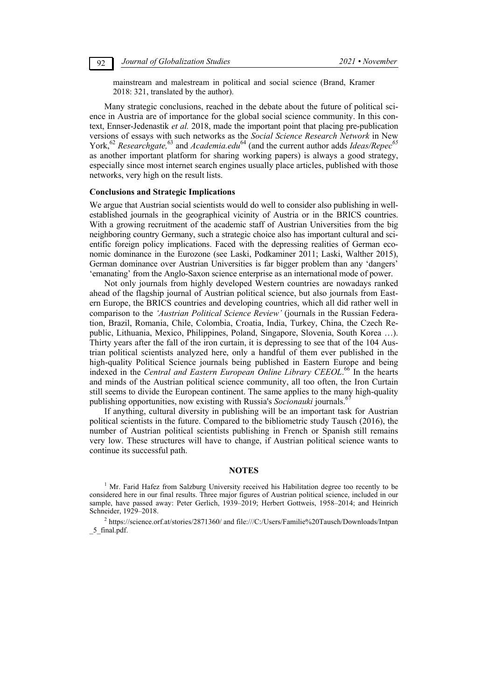mainstream and malestream in political and social science (Brand, Kramer 2018: 321, translated by the author).

Many strategic conclusions, reached in the debate about the future of political science in Austria are of importance for the global social science community. In this context, Ennser-Jedenastik *et al.* 2018, made the important point that placing pre-publication versions of essays with such networks as the *Social Science Research Network* in New York,<sup>62</sup> Researchgate,<sup>63</sup> and *Academia.edu*<sup>64</sup> (and the current author adds *Ideas/Repec*<sup>65</sup> as another important platform for sharing working papers) is always a good strategy, especially since most internet search engines usually place articles, published with those networks, very high on the result lists.

### **Conclusions and Strategic Implications**

We argue that Austrian social scientists would do well to consider also publishing in wellestablished journals in the geographical vicinity of Austria or in the BRICS countries. With a growing recruitment of the academic staff of Austrian Universities from the big neighboring country Germany, such a strategic choice also has important cultural and scientific foreign policy implications. Faced with the depressing realities of German economic dominance in the Eurozone (see Laski, Podkaminer 2011; Laski, Walther 2015), German dominance over Austrian Universities is far bigger problem than any 'dangers' 'emanating' from the Anglo-Saxon science enterprise as an international mode of power.

Not only journals from highly developed Western countries are nowadays ranked ahead of the flagship journal of Austrian political science, but also journals from Eastern Europe, the BRICS countries and developing countries, which all did rather well in comparison to the *'Austrian Political Science Review'* (journals in the Russian Federation, Brazil, Romania, Chile, Colombia, Croatia, India, Turkey, China, the Czech Republic, Lithuania, Mexico, Philippines, Poland, Singapore, Slovenia, South Korea …). Thirty years after the fall of the iron curtain, it is depressing to see that of the 104 Austrian political scientists analyzed here, only a handful of them ever published in the high-quality Political Science journals being published in Eastern Europe and being indexed in the *Central and Eastern European Online Library CEEOL.*<sup>66</sup> In the hearts and minds of the Austrian political science community, all too often, the Iron Curtain still seems to divide the European continent. The same applies to the many high-quality publishing opportunities, now existing with Russia's *Socionauki* journals.<sup>6</sup>

If anything, cultural diversity in publishing will be an important task for Austrian political scientists in the future. Compared to the bibliometric study Tausch (2016), the number of Austrian political scientists publishing in French or Spanish still remains very low. These structures will have to change, if Austrian political science wants to continue its successful path.

## **NOTES**

Schneider, 1929–2018.<br><sup>2</sup> https://science.orf.at/stories/2871360/ and file:///C:/Users/Familie%20Tausch/Downloads/Intpan 5 final.pdf.

<sup>&</sup>lt;sup>1</sup> Mr. Farid Hafez from Salzburg University received his Habilitation degree too recently to be considered here in our final results. Three major figures of Austrian political science, included in our sample, have passed away: Peter Gerlich, 1939–2019; Herbert Gottweis, 1958–2014; and Heinrich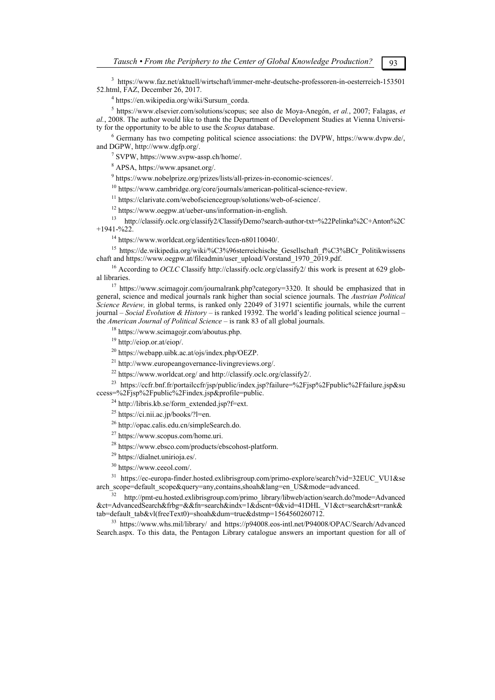<sup>3</sup> https://www.faz.net/aktuell/wirtschaft/immer-mehr-deutsche-professoren-in-oesterreich-153501 52.html, FAZ, December 26, 2017. 4

https://en.wikipedia.org/wiki/Sursum\_corda.

<sup>5</sup> https://www.elsevier.com/solutions/scopus; see also de Moya-Anegón, *et al.*, 2007; Falagas, *et al.*, 2008. The author would like to thank the Department of Development Studies at Vienna University for the opportunity to be able to use the *Scopus* database.

 Germany has two competing political science associations: the DVPW, https://www.dvpw.de/, and DGPW, http://www.dgfp.org/. 7

SVPW, https://www.svpw-assp.ch/home/.

8 APSA, https://www.apsanet.org/.

<sup>9</sup> https://www.nobelprize.org/prizes/lists/all-prizes-in-economic-sciences/.

<sup>10</sup> https://www.cambridge.org/core/journals/american-political-science-review.<br><sup>11</sup> https://clarivate.com/webofsciencegroup/solutions/web-of-science/.<br><sup>12</sup> https://www.oegpw.at/ueber-uns/information-in-english.<br><sup>13</sup> http

 $^{14}$  https://www.worldcat.org/identities/lccn-n80110040/.

<sup>15</sup> https://de.wikipedia.org/wiki/%C3%96sterreichische\_Gesellschaft\_f%C3%BCr\_Politikwissens<br>chaft and https://www.oegpw.at/fileadmin/user\_upload/Vorstand\_1970\_2019.pdf.

<sup>16</sup> According to *OCLC* Classify http://classify.oclc.org/classify2/ this work is present at 629 glob-<br>al libraries.

<sup>17</sup> https://www.scimagojr.com/journalrank.php?category=3320. It should be emphasized that in general, science and medical journals rank higher than social science journals. The *Austrian Political Science Review,* in global terms, is ranked only 22049 of 31971 scientific journals, while the current journal – *Social Evolution & History* – is ranked 19392. The world's leading political science journal – the *American Journal of Political Science* – is rank 83 of all global journals.<br><sup>18</sup> https://www.scimagojr.com/aboutus.php.<br><sup>19</sup> http://eiop.or.at/eiop/.

<sup>20</sup> https://webapp.uibk.ac.at/ojs/index.php/OEZP.<br><sup>21</sup> http://www.europeangovernance-livingreviews.org/.

<sup>22</sup> https://www.worldcat.org/ and http://classify.oclc.org/classify2/.<br><sup>23</sup> https://ccfr.bnf.fr/portailccfr/jsp/public/index.jsp?failure=%2Fjsp%2Fpublic%2Ffailure.jsp&su ccess=%2Fjsp%2Fpublic%2Findex.jsp&profile=public.<br><sup>24</sup> http://libris.kb.se/form\_extended.jsp?f=ext.

 $25$  https://ci.nii.ac.jp/books/?l=en.

26 http://opac.calis.edu.cn/simpleSearch.do.

27 https://www.scopus.com/home.uri.

<sup>28</sup> https://www.ebsco.com/products/ebscohost-platform.<br><sup>29</sup> https://dialnet.unirioja.es/.

- 
- 30 https://www.ceeol.com/.

<sup>31</sup> https://ec-europa-finder.hosted.exlibrisgroup.com/primo-explore/search?vid=32EUC\_VU1&se arch scope=default scope&query=any,contains,shoah&lang=en US&mode=advanced.

http://pmt-eu.hosted.exlibrisgroup.com/primo\_library/libweb/action/search.do?mode=Advanced &ct=AdvancedSearch&frbg=&&fn=search&indx=1&dscnt=0&vid=41DHL\_V1&ct=search&srt=rank&<br>tab=default\_tab&vl(freeText0)=shoah&dum=true&dstmp=1564560260712.

<sup>33</sup> https://www.whs.mil/library/ and https://p94008.eos-intl.net/P94008/OPAC/Search/Advanced Search.aspx. To this data, the Pentagon Library catalogue answers an important question for all of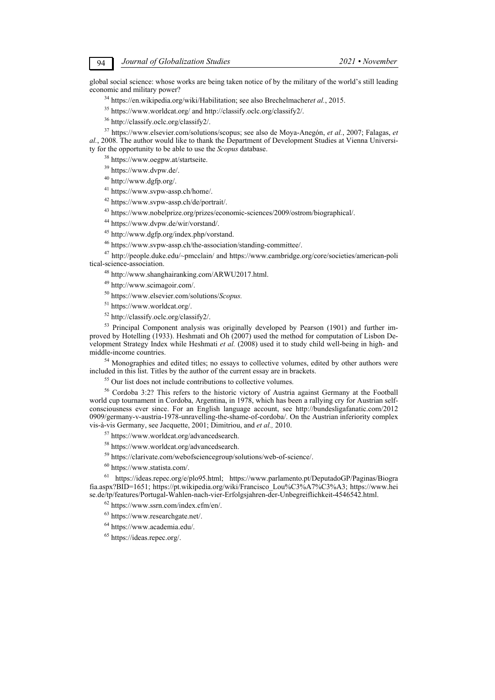global social science: whose works are being taken notice of by the military of the world's still leading economic and military power? economic and military power?<br>
<sup>34</sup> https://en.wikipedia.org/wiki/Habilitation; see also Brechelmacheret al., 2015.<br>
<sup>35</sup> https://www.worldcat.org/ and http://classify.oclc.org/classify2/.<br>
<sup>36</sup> http://classify.oclc.org/cla

*al.*, 2008. The author would like to thank the Department of Development Studies at Vienna University for the opportunity to be able to use the *Scopus* database. 38 https://www.oegpw.at/startseite.

39 https://www.dvpw.de/.

40 http://www.dgfp.org/.

41 https://www.svpw-assp.ch/home/.

42 https://www.svpw-assp.ch/de/portrait/.

43 https://www.nobelprize.org/prizes/economic-sciences/2009/ostrom/biographical/. 44 https://www.dvpw.de/wir/vorstand/.

45 http://www.dgfp.org/index.php/vorstand.

<sup>46</sup> https://www.svpw-assp.ch/the-association/standing-committee/.<br><sup>47</sup> http://people.duke.edu/~pmcclain/ and https://www.cambridge.org/core/societies/american-political-science-association.

<sup>48</sup> http://www.shanghairanking.com/ARWU2017.html.  $49$  http://www.scimagoir.com/.

50 https://www.elsevier.com/solutions/*Scopus.*

51 https://www.worldcat.org/.

 $52$  http://classify.oclc.org/classify2/.<br> $53$  Principal Component analysis was originally developed by Pearson (1901) and further improved by Hotelling (1933). Heshmati and Oh (2007) used the method for computation of Lisbon Development Strategy Index while Heshmati *et al.* (2008) used it to study child well-being in high- and middle-income countries.

 $<sup>54</sup>$  Monographies and edited titles; no essays to collective volumes, edited by other authors were included in this list. Titles by the author of the current essay are in brackets.</sup> included in this list. Titles by the author of the current essay are in brackets.<br><sup>55</sup> Our list does not include contributions to collective volumes.<br><sup>56</sup> Cordoba 3:2? This refers to the historic victory of Austria against

world cup tournament in Cordoba, Argentina, in 1978, which has been a rallying cry for Austrian selfconsciousness ever since. For an English language account, see http://bundesligafanatic.com/2012 0909/germany-v-austria-1978-unravelling-the-shame-of-cordoba/. On the Austrian inferiority complex vis-à-vis Germany, see Jacquette, 2001; Dimitriou, and *et al.,* 2010. 57 https://www.worldcat.org/advancedsearch.

58 https://www.worldcat.org/advancedsearch.

 $^{59}$ https://clarivate.com/webofsciencegroup/solutions/web-of-science/.  $^{60}$  https://www.statista.com/.

61 https://ideas.repec.org/e/plo95.html; https://www.parlamento.pt/DeputadoGP/Paginas/Biogra fia.aspx?BID=1651; https://pt.wikipedia.org/wiki/Francisco\_Lou%C3%A7%C3%A3; https://www.hei se.de/tp/features/Portugal-Wahlen-nach-vier-Erfolgsjahren-der-Unbegreiflichkeit-4546542.html. 62 https://www.ssrn.com/index.cfm/en/.

 $63$  https://www.researchgate.net/.<br> $64$  https://www.academia.edu/.

65 https://ideas.repec.org/.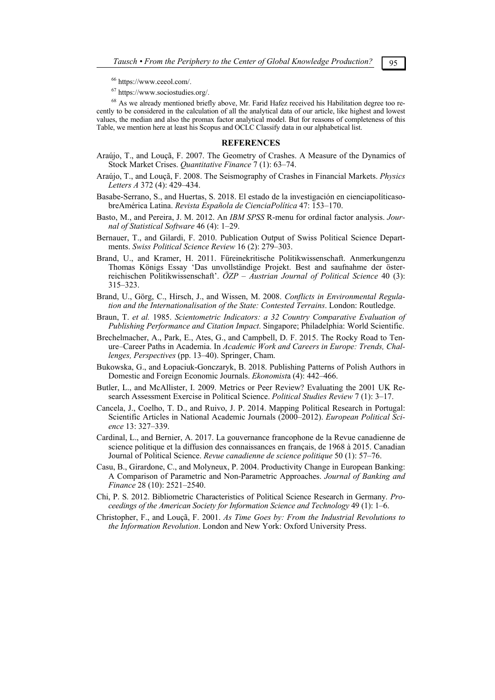66 https://www.ceeol.com/.

67 https://www.sociostudies.org/.

<sup>68</sup> As we already mentioned briefly above, Mr. Farid Hafez received his Habilitation degree too recently to be considered in the calculation of all the analytical data of our article, like highest and lowest values, the median and also the promax factor analytical model. But for reasons of completeness of this Table, we mention here at least his Scopus and OCLC Classify data in our alphabetical list.

### **REFERENCES**

- Araújo, T., and Louçã, F. 2007. The Geometry of Crashes. A Measure of the Dynamics of Stock Market Crises. *Quantitative Finance* 7 (1): 63–74.
- Araújo, T., and Louçã, F. 2008. The Seismography of Crashes in Financial Markets. *Physics Letters A* 372 (4): 429–434.
- Basabe-Serrano, S., and Huertas, S. 2018. El estado de la investigación en cienciapolíticasobreAmérica Latina. *Revista Española de CienciaPolítica* 47: 153–170.
- Basto, M., and Pereira, J. M. 2012. An *IBM SPSS* R-menu for ordinal factor analysis. *Journal of Statistical Software* 46 (4): 1–29.
- Bernauer, T., and Gilardi, F. 2010. Publication Output of Swiss Political Science Departments. *Swiss Political Science Review* 16 (2): 279–303.
- Brand, U., and Kramer, H. 2011. Füreinekritische Politikwissenschaft. Anmerkungenzu Thomas Königs Essay 'Das unvollständige Projekt. Best and saufnahme der österreichischen Politikwissenschaft'. *ÖZP – Austrian Journal of Political Science* 40 (3): 315–323.
- Brand, U., Görg, C., Hirsch, J., and Wissen, M. 2008. *Conflicts in Environmental Regulation and the Internationalisation of the State: Contested Terrains*. London: Routledge.
- Braun, T. *et al.* 1985. *Scientometric Indicators: a 32 Country Comparative Evaluation of Publishing Performance and Citation Impact*. Singapore; Philadelphia: World Scientific.
- Brechelmacher, A., Park, E., Ates, G., and Campbell, D. F. 2015. The Rocky Road to Tenure–Career Paths in Academia. In *Academic Work and Careers in Europe: Trends, Challenges, Perspectives* (pp. 13–40). Springer, Cham.
- Bukowska, G., and Łopaciuk-Gonczaryk, B. 2018. Publishing Patterns of Polish Authors in Domestic and Foreign Economic Journals. *Ekonomist*a (4): 442–466.
- Butler, L., and McAllister, I. 2009. Metrics or Peer Review? Evaluating the 2001 UK Research Assessment Exercise in Political Science. *Political Studies Review* 7 (1): 3–17.
- Cancela, J., Coelho, T. D., and Ruivo, J. P. 2014. Mapping Political Research in Portugal: Scientific Articles in National Academic Journals (2000–2012). *European Political Science* 13: 327–339.
- Cardinal, L., and Bernier, A. 2017. La gouvernance francophone de la Revue canadienne de science politique et la diffusion des connaissances en français, de 1968 à 2015. Canadian Journal of Political Science. *Revue canadienne de science politique* 50 (1): 57–76.
- Casu, B., Girardone, C., and Molyneux, P. 2004. Productivity Change in European Banking: A Comparison of Parametric and Non-Parametric Approaches. *Journal of Banking and Finance* 28 (10): 2521–2540.
- Chi, P. S. 2012. Bibliometric Characteristics of Political Science Research in Germany. *Proceedings of the American Society for Information Science and Technology* 49 (1): 1–6.
- Christopher, F., and Louçã, F. 2001. *As Time Goes by: From the Industrial Revolutions to the Information Revolution*. London and New York: Oxford University Press.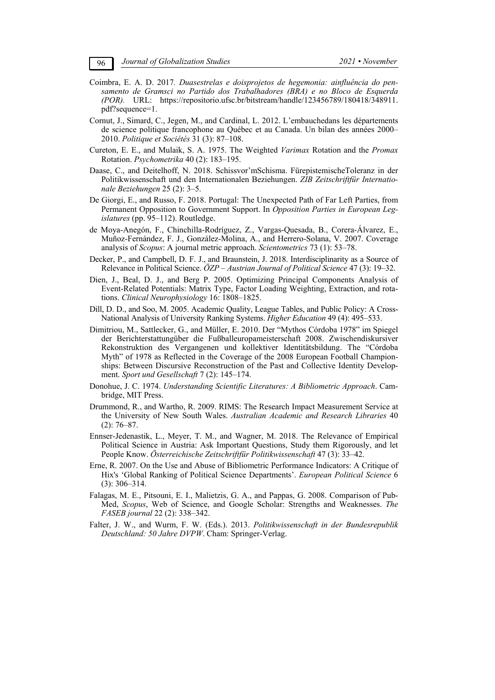- Coimbra, E. A. D. 2017*. Duasestrelas e doisprojetos de hegemonia: ainfluência do pensamento de Gramsci no Partido dos Trabalhadores (BRA) e no Bloco de Esquerda (POR).* URL: https://repositorio.ufsc.br/bitstream/handle/123456789/180418/348911. pdf?sequence=1.
- Cornut, J., Simard, C., Jegen, M., and Cardinal, L. 2012. L'embauchedans les départements de science politique francophone au Québec et au Canada. Un bilan des années 2000– 2010. *Politique et Sociétés* 31 (3): 87–108.
- Cureton, E. E., and Mulaik, S. A. 1975. The Weighted *Varimax* Rotation and the *Promax* Rotation. *Psychometrika* 40 (2): 183–195.
- Daase, C., and Deitelhoff, N. 2018. Schissvor'mSchisma. FürepistemischeToleranz in der Politikwissenschaft und den Internationalen Beziehungen. *ZIB Zeitschriftfür Internationale Beziehungen* 25 (2): 3–5.
- De Giorgi, E., and Russo, F. 2018. Portugal: The Unexpected Path of Far Left Parties, from Permanent Opposition to Government Support. In *Opposition Parties in European Legislatures* (pp. 95–112). Routledge.
- de Moya-Anegón, F., Chinchilla-Rodríguez, Z., Vargas-Quesada, B., Corera-Álvarez, E., Muñoz-Fernández, F. J., González-Molina, A., and Herrero-Solana, V. 2007. Coverage analysis of *Scopus*: A journal metric approach. *Scientometrics* 73 (1): 53–78.
- Decker, P., and Campbell, D. F. J., and Braunstein, J. 2018. Interdisciplinarity as a Source of Relevance in Political Science. *ÖZP – Austrian Journal of Political Science* 47 (3): 19–32.
- Dien, J., Beal, D. J., and Berg P. 2005. Optimizing Principal Components Analysis of Event-Related Potentials: Matrix Type, Factor Loading Weighting, Extraction, and rotations. *Clinical Neurophysiology* 16: 1808–1825.
- Dill, D. D., and Soo, M. 2005. Academic Quality, League Tables, and Public Policy: A Cross-National Analysis of University Ranking Systems. *Higher Education* 49 (4): 495–533.
- Dimitriou, M., Sattlecker, G., and Müller, E. 2010. Der "Mythos Córdoba 1978" im Spiegel der Berichterstattungüber die Fußballeuropameisterschaft 2008. Zwischendiskursiver Rekonstruktion des Vergangenen und kollektiver Identitätsbildung. The "Córdoba Myth" of 1978 as Reflected in the Coverage of the 2008 European Football Championships: Between Discursive Reconstruction of the Past and Collective Identity Development. *Sport und Gesellschaft* 7 (2): 145–174.
- Donohue, J. C. 1974. *Understanding Scientific Literatures: A Bibliometric Approach*. Cambridge, MIT Press.
- Drummond, R., and Wartho, R. 2009. RIMS: The Research Impact Measurement Service at the University of New South Wales. *Australian Academic and Research Libraries* 40 (2): 76–87.
- Ennser-Jedenastik, L., Meyer, T. M., and Wagner, M. 2018. The Relevance of Empirical Political Science in Austria: Ask Important Questions, Study them Rigorously, and let People Know. *Österreichische Zeitschriftfür Politikwissenschaft* 47 (3): 33–42.
- Erne, R. 2007. On the Use and Abuse of Bibliometric Performance Indicators: A Critique of Hix's 'Global Ranking of Political Science Departments'. *European Political Science* 6 (3): 306–314.
- Falagas, M. E., Pitsouni, E. I., Malietzis, G. A., and Pappas, G. 2008. Comparison of Pub-Med, *Scopus*, Web of Science, and Google Scholar: Strengths and Weaknesses. *The FASEB journal* 22 (2): 338–342.
- Falter, J. W., and Wurm, F. W. (Eds.). 2013. *Politikwissenschaft in der Bundesrepublik Deutschland: 50 Jahre DVPW*. Cham: Springer-Verlag.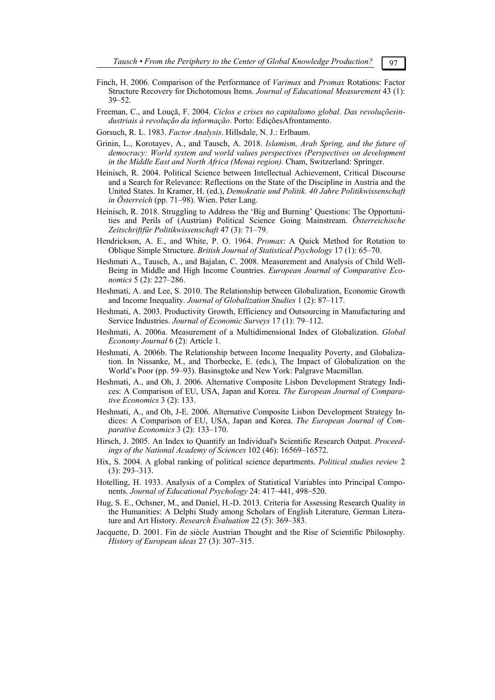- Finch, H. 2006. Comparison of the Performance of *Varimax* and *Promax* Rotations: Factor Structure Recovery for Dichotomous Items. *Journal of Educational Measurement* 43 (1): 39–52.
- Freeman, C., and Louçã, F. 2004. *Ciclos e crises no capitalismo global. Das revoluçõesindustriais à revolução da informação*. Porto: EdiçõesAfrontamento.
- Gorsuch, R. L. 1983. *Factor Analysis*. Hillsdale, N. J.: Erlbaum.
- Grinin, L., Korotayev, A., and Tausch, A. 2018. *Islamism, Arab Spring, and the future of democracy: World system and world values perspectives (Perspectives on development in the Middle East and North Africa (Mena) region).* Cham, Switzerland: Springer.
- Heinisch, R. 2004. Political Science between Intellectual Achievement, Critical Discourse and a Search for Relevance: Reflections on the State of the Discipline in Austria and the United States. In Kramer, H. (ed.), *Demokratie und Politik. 40 Jahre Politikwissenschaft in Österreich* (pp. 71–98). Wien. Peter Lang.
- Heinisch, R. 2018. Struggling to Address the 'Big and Burning' Questions: The Opportunities and Perils of (Austrian) Political Science Going Mainstream. *Österreichische Zeitschriftfür Politikwissenschaft* 47 (3): 71–79.
- Hendrickson, A. E., and White, P. O. 1964. *Promax*: A Quick Method for Rotation to Oblique Simple Structure. *British Journal of Statistical Psychology* 17 (1): 65–70.
- Heshmati A., Tausch, A., and Bajalan, C. 2008. Measurement and Analysis of Child Well-Being in Middle and High Income Countries. *European Journal of Comparative Economics* 5 (2): 227–286.
- Heshmati, A. and Lee, S. 2010. The Relationship between Globalization, Economic Growth and Income Inequality. *Journal of Globalization Studies* 1 (2): 87–117.
- Heshmati, A. 2003. Productivity Growth, Efficiency and Outsourcing in Manufacturing and Service Industries. *Journal of Economic Surveys* 17 (1): 79–112.
- Heshmati, A. 2006a. Measurement of a Multidimensional Index of Globalization. *Global Economy Journal* 6 (2): Article 1.
- Heshmati, A. 2006b. The Relationship between Income Inequality Poverty, and Globalization. In Nissanke, M., and Thorbecke, E. (eds.), The Impact of Globalization on the World's Poor (pp. 59–93). Basinsgtoke and New York: Palgrave Macmillan.
- Heshmati, A., and Oh, J. 2006. Alternative Composite Lisbon Development Strategy Indices: A Comparison of EU, USA, Japan and Korea. *The European Journal of Comparative Economics* 3 (2): 133.
- Heshmati, A., and Oh, J-E. 2006. Alternative Composite Lisbon Development Strategy Indices: A Comparison of EU, USA, Japan and Korea. *The European Journal of Comparative Economics* 3 (2): 133–170.
- Hirsch, J. 2005. An Index to Quantify an Individual's Scientific Research Output. *Proceedings of the National Academy of Sciences* 102 (46): 16569–16572.
- Hix, S. 2004. A global ranking of political science departments. *Political studies review* 2 (3): 293–313.
- Hotelling, H. 1933. Analysis of a Complex of Statistical Variables into Principal Components. *Journal of Educational Psychology* 24: 417–441, 498–520.
- Hug, S. E., Ochsner, M., and Daniel, H.-D. 2013. Criteria for Assessing Research Quality in the Humanities: A Delphi Study among Scholars of English Literature, German Literature and Art History. *Research Evaluation* 22 (5): 369–383.
- Jacquette, D. 2001. Fin de siècle Austrian Thought and the Rise of Scientific Philosophy. *History of European ideas* 27 (3): 307–315.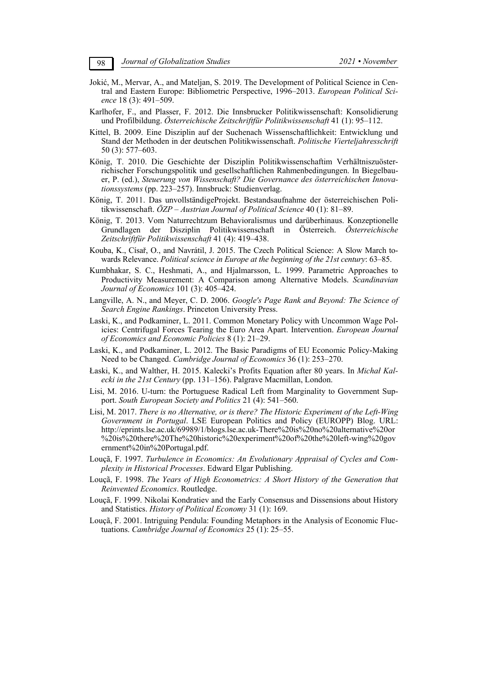- Jokić, M., Mervar, A., and Mateljan, S. 2019. The Development of Political Science in Central and Eastern Europe: Bibliometric Perspective, 1996–2013. *European Political Science* 18 (3): 491–509.
- Karlhofer, F., and Plasser, F. 2012. Die Innsbrucker Politikwissenschaft: Konsolidierung und Profilbildung. *Österreichische Zeitschriftfür Politikwissenschaft* 41 (1): 95–112.
- Kittel, B. 2009. Eine Disziplin auf der Suchenach Wissenschaftlichkeit: Entwicklung und Stand der Methoden in der deutschen Politikwissenschaft. *Politische Vierteljahresschrift* 50 (3): 577–603.
- König, T. 2010. Die Geschichte der Disziplin Politikwissenschaftim Verhältniszuösterrichischer Forschungspolitik und gesellschaftlichen Rahmenbedingungen. In Biegelbauer, P. (ed.), *Steuerung von Wissenschaft? Die Governance des österreichischen Innovationssystems* (pp. 223–257). Innsbruck: Studienverlag.
- König, T. 2011. Das unvollständigeProjekt. Bestandsaufnahme der österreichischen Politikwissenschaft. *ÖZP – Austrian Journal of Political Science* 40 (1): 81–89.
- König, T. 2013. Vom Naturrechtzum Behavioralismus und darüberhinaus. Konzeptionelle Grundlagen der Disziplin Politikwissenschaft in Österreich. *Österreichische Zeitschriftfür Politikwissenschaft* 41 (4): 419–438.
- Kouba, K., Císař, O., and Navrátil, J. 2015. The Czech Political Science: A Slow March towards Relevance. *Political science in Europe at the beginning of the 21st century*: 63–85.
- Kumbhakar, S. C., Heshmati, A., and Hjalmarsson, L. 1999. Parametric Approaches to Productivity Measurement: A Comparison among Alternative Models. *Scandinavian Journal of Economics* 101 (3): 405–424.
- Langville, A. N., and Meyer, C. D. 2006. *Google's Page Rank and Beyond: The Science of Search Engine Rankings*. Princeton University Press.
- Laski, K., and Podkaminer, L. 2011. Common Monetary Policy with Uncommon Wage Policies: Centrifugal Forces Tearing the Euro Area Apart. Intervention. *European Journal of Economics and Economic Policies* 8 (1): 21–29.
- Laski, K., and Podkaminer, L. 2012. The Basic Paradigms of EU Economic Policy-Making Need to be Changed. *Cambridge Journal of Economics* 36 (1): 253–270.
- Łaski, K., and Walther, H. 2015. Kalecki's Profits Equation after 80 years. In *Michał Kalecki in the 21st Century* (pp. 131–156). Palgrave Macmillan, London.
- Lisi, M. 2016. U-turn: the Portuguese Radical Left from Marginality to Government Support. *South European Society and Politics* 21 (4): 541–560.
- Lisi, M. 2017. *There is no Alternative, or is there? The Historic Experiment of the Left-Wing Government in Portugal*. LSE European Politics and Policy (EUROPP) Blog. URL: http://eprints.lse.ac.uk/69989/1/blogs.lse.ac.uk-There%20is%20no%20alternative%20or %20is%20there%20The%20historic%20experiment%20of%20the%20left-wing%20gov ernment%20in%20Portugal.pdf.
- Louçã, F. 1997. *Turbulence in Economics: An Evolutionary Appraisal of Cycles and Complexity in Historical Processes*. Edward Elgar Publishing.
- Louçã, F. 1998. *The Years of High Econometrics: A Short History of the Generation that Reinvented Economics*. Routledge.
- Louçã, F. 1999. Nikolai Kondratiev and the Early Consensus and Dissensions about History and Statistics. *History of Political Economy* 31 (1): 169.
- Louçã, F. 2001. Intriguing Pendula: Founding Metaphors in the Analysis of Economic Fluctuations. *Cambridge Journal of Economics* 25 (1): 25–55.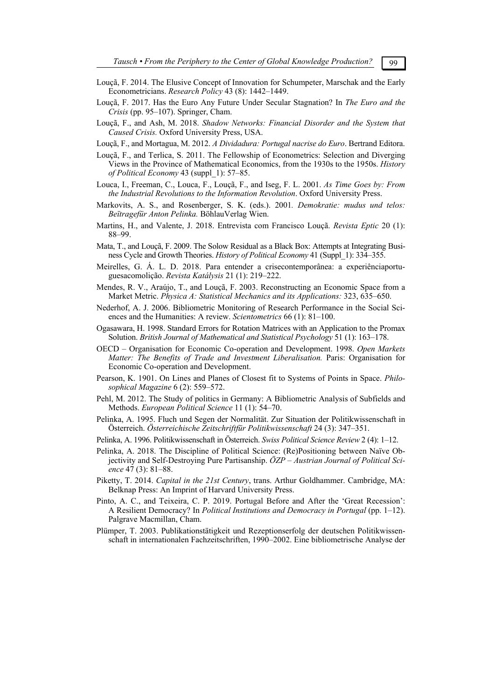- Louçã, F. 2014. The Elusive Concept of Innovation for Schumpeter, Marschak and the Early Econometricians. *Research Policy* 43 (8): 1442–1449.
- Louçã, F. 2017. Has the Euro Any Future Under Secular Stagnation? In *The Euro and the Crisis* (pp. 95–107). Springer, Cham.
- Louçã, F., and Ash, M. 2018. *Shadow Networks: Financial Disorder and the System that Caused Crisis.* Oxford University Press, USA.
- Louçã, F., and Mortagua, M. 2012. *A Dividadura: Portugal nacrise do Euro*. Bertrand Editora.
- Louçã, F., and Terlica, S. 2011. The Fellowship of Econometrics: Selection and Diverging Views in the Province of Mathematical Economics, from the 1930s to the 1950s. *History of Political Economy* 43 (suppl\_1): 57–85.
- Louca, I., Freeman, C., Louca, F., Louçã, F., and Iseg, F. L. 2001. *As Time Goes by: From the Industrial Revolutions to the Information Revolution*. Oxford University Press.
- Markovits, A. S., and Rosenberger, S. K. (eds.). 2001*. Demokratie: mudus und telos: Beïtragefür Anton Pelinka.* BöhlauVerlag Wien.
- Martins, H., and Valente, J. 2018. Entrevista com Francisco Louçã. *Revista Eptic* 20 (1): 88–99.
- Mata, T., and Louçã, F. 2009. The Solow Residual as a Black Box: Attempts at Integrating Business Cycle and Growth Theories. *History of Political Economy* 41 (Suppl\_1): 334–355.
- Meirelles, G. Á. L. D. 2018. Para entender a crisecontemporânea: a experiênciaportuguesacomolição. *Revista Katálysis* 21 (1): 219–222.
- Mendes, R. V., Araújo, T., and Louçã, F. 2003. Reconstructing an Economic Space from a Market Metric. *Physica A: Statistical Mechanics and its Applications:* 323, 635–650.
- Nederhof, A. J. 2006. Bibliometric Monitoring of Research Performance in the Social Sciences and the Humanities: A review. *Scientometrics* 66 (1): 81–100.
- Ogasawara, H. 1998. Standard Errors for Rotation Matrices with an Application to the Promax Solution. *British Journal of Mathematical and Statistical Psychology* 51 (1): 163–178.
- OECD Organisation for Economic Co-operation and Development. 1998. *Open Markets Matter: The Benefits of Trade and Investment Liberalisation.* Paris: Organisation for Economic Co-operation and Development.
- Pearson, K. 1901. On Lines and Planes of Closest fit to Systems of Points in Space. *Philosophical Magazine* 6 (2): 559–572.
- Pehl, M. 2012. The Study of politics in Germany: A Bibliometric Analysis of Subfields and Methods. *European Political Science* 11 (1): 54–70.
- Pelinka, A. 1995. Fluch und Segen der Normalität. Zur Situation der Politikwissenschaft in Österreich. *Österreichische Zeitschriftfür Politikwissenschaft* 24 (3): 347–351.
- Pelinka, A. 1996. Politikwissenschaft in Österreich. *Swiss Political Science Review* 2 (4): 1–12.
- Pelinka, A. 2018. The Discipline of Political Science: (Re)Positioning between Naïve Objectivity and Self-Destroying Pure Partisanship. *ÖZP – Austrian Journal of Political Science* 47 (3): 81–88.
- Piketty, T. 2014. *Capital in the 21st Century*, trans. Arthur Goldhammer. Cambridge, MA: Belknap Press: An Imprint of Harvard University Press.
- Pinto, A. C., and Teixeira, C. P. 2019. Portugal Before and After the 'Great Recession': A Resilient Democracy? In *Political Institutions and Democracy in Portugal* (pp. 1–12). Palgrave Macmillan, Cham.
- Plümper, T. 2003. Publikationstätigkeit und Rezeptionserfolg der deutschen Politikwissenschaft in internationalen Fachzeitschriften, 1990–2002. Eine bibliometrische Analyse der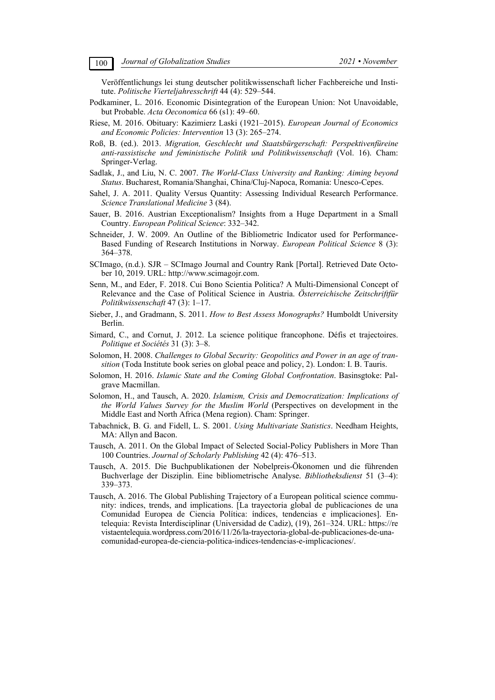Veröffentlichungs lei stung deutscher politikwissenschaft licher Fachbereiche und Institute. *Politische Vierteljahresschrift* 44 (4): 529–544.

- Podkaminer, L. 2016. Economic Disintegration of the European Union: Not Unavoidable, but Probable. *Acta Oeconomica* 66 (s1): 49–60.
- Riese, M. 2016. Obituary: Kazimierz Laski (1921–2015). *European Journal of Economics and Economic Policies: Intervention* 13 (3): 265–274.
- Roß, B. (ed.). 2013. *Migration, Geschlecht und Staatsbürgerschaft: Perspektivenfüreine anti-rassistische und feministische Politik und Politikwissenschaft* (Vol. 16). Cham: Springer-Verlag.
- Sadlak, J., and Liu, N. C. 2007. *The World-Class University and Ranking: Aiming beyond Status*. Bucharest, Romania/Shanghai, China/Cluj-Napoca, Romania: Unesco-Cepes.
- Sahel, J. A. 2011. Quality Versus Quantity: Assessing Individual Research Performance. *Science Translational Medicine* 3 (84).
- Sauer, B. 2016. Austrian Exceptionalism? Insights from a Huge Department in a Small Country. *European Political Science*: 332–342.
- Schneider, J. W. 2009. An Outline of the Bibliometric Indicator used for Performance-Based Funding of Research Institutions in Norway. *European Political Science* 8 (3): 364–378.
- SCImago, (n.d.). SJR SCImago Journal and Country Rank [Portal]. Retrieved Date October 10, 2019. URL: http://www.scimagojr.com.
- Senn, M., and Eder, F. 2018. Cui Bono Scientia Politica? A Multi-Dimensional Concept of Relevance and the Case of Political Science in Austria. *Österreichische Zeitschriftfür Politikwissenschaft* 47 (3): 1–17.
- Sieber, J., and Gradmann, S. 2011. *How to Best Assess Monographs?* Humboldt University Berlin.
- Simard, C., and Cornut, J. 2012. La science politique francophone. Défis et trajectoires. *Politique et Sociétés* 31 (3): 3–8.
- Solomon, H. 2008. *Challenges to Global Security: Geopolitics and Power in an age of transition* (Toda Institute book series on global peace and policy, 2). London: I. B. Tauris.
- Solomon, H. 2016. *Islamic State and the Coming Global Confrontation*. Basinsgtoke: Palgrave Macmillan.
- Solomon, H., and Tausch, A. 2020. *Islamism, Crisis and Democratization: Implications of the World Values Survey for the Muslim World* (Perspectives on development in the Middle East and North Africa (Mena region). Cham: Springer.
- Tabachnick, B. G. and Fidell, L. S. 2001. *Using Multivariate Statistics*. Needham Heights, MA: Allyn and Bacon.
- Tausch, A. 2011. On the Global Impact of Selected Social-Policy Publishers in More Than 100 Countries. *Journal of Scholarly Publishing* 42 (4): 476–513.
- Tausch, A. 2015. Die Buchpublikationen der Nobelpreis-Ökonomen und die führenden Buchverlage der Disziplin. Eine bibliometrische Analyse. *Bibliotheksdienst* 51 (3–4): 339–373.
- Tausch, A. 2016. The Global Publishing Trajectory of a European political science community: indices, trends, and implications. [La trayectoria global de publicaciones de una Comunidad Europea de Ciencia Política: índices, tendencias e implicaciones]. Entelequia: Revista Interdisciplinar (Universidad de Cadiz), (19), 261–324. URL: https://re vistaentelequia.wordpress.com/2016/11/26/la-trayectoria-global-de-publicaciones-de-unacomunidad-europea-de-ciencia-politica-indices-tendencias-e-implicaciones/.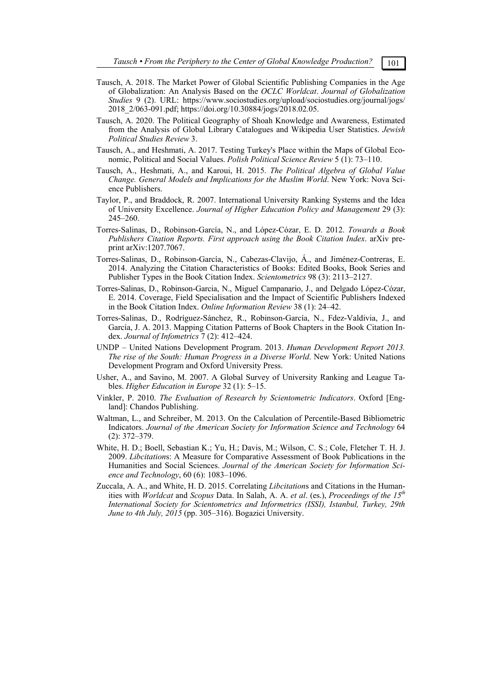- Tausch, A. 2018. The Market Power of Global Scientific Publishing Companies in the Age of Globalization: An Analysis Based on the *OCLC Worldcat*. *Journal of Globalization Studies* 9 (2). URL: https://www.sociostudies.org/upload/sociostudies.org/journal/jogs/ 2018\_2/063-091.pdf; https://doi.org/10.30884/jogs/2018.02.05.
- Tausch, A. 2020. The Political Geography of Shoah Knowledge and Awareness, Estimated from the Analysis of Global Library Catalogues and Wikipedia User Statistics. *Jewish Political Studies Review* 3.
- Tausch, A., and Heshmati, A. 2017. Testing Turkey's Place within the Maps of Global Economic, Political and Social Values. *Polish Political Science Review* 5 (1): 73–110.
- Tausch, A., Heshmati, A., and Karoui, H. 2015. *The Political Algebra of Global Value Change. General Models and Implications for the Muslim World*. New York: Nova Science Publishers.
- Taylor, P., and Braddock, R. 2007. International University Ranking Systems and the Idea of University Excellence. *Journal of Higher Education Policy and Management* 29 (3): 245–260.
- Torres-Salinas, D., Robinson-García, N., and López-Cózar, E. D. 2012. *Towards a Book Publishers Citation Reports. First approach using the Book Citation Index*. arXiv preprint arXiv:1207.7067.
- Torres-Salinas, D., Robinson-García, N., Cabezas-Clavijo, Á., and Jiménez-Contreras, E. 2014. Analyzing the Citation Characteristics of Books: Edited Books, Book Series and Publisher Types in the Book Citation Index. *Scientometrics* 98 (3): 2113–2127.
- Torres-Salinas, D., Robinson-Garcia, N., Miguel Campanario, J., and Delgado López-Cózar, E. 2014. Coverage, Field Specialisation and the Impact of Scientific Publishers Indexed in the Book Citation Index. *Online Information Review* 38 (1): 24–42.
- Torres-Salinas, D., Rodríguez-Sánchez, R., Robinson-García, N., Fdez-Valdivia, J., and García, J. A. 2013. Mapping Citation Patterns of Book Chapters in the Book Citation Index. *Journal of Infometrics* 7 (2): 412–424.
- UNDP United Nations Development Program. 2013. *Human Development Report 2013. The rise of the South: Human Progress in a Diverse World*. New York: United Nations Development Program and Oxford University Press.
- Usher, A., and Savino, M. 2007. A Global Survey of University Ranking and League Tables. *Higher Education in Europe* 32 (1): 5–15.
- Vinkler, P. 2010. *The Evaluation of Research by Scientometric Indicators*. Oxford [England]: Chandos Publishing.
- Waltman, L., and Schreiber, M. 2013. On the Calculation of Percentile-Based Bibliometric Indicators. *Journal of the American Society for Information Science and Technology* 64 (2): 372–379.
- White, H. D.; Boell, Sebastian K.; Yu, H.; Davis, M.; Wilson, C. S.; Cole, Fletcher T. H. J. 2009. *Libcitation*s: A Measure for Comparative Assessment of Book Publications in the Humanities and Social Sciences. *Journal of the American Society for Information Science and Technology*, 60 (6): 1083–1096.
- Zuccala, A. A., and White, H. D. 2015. Correlating *Libcitation*s and Citations in the Humanities with *Worldcat* and *Scopus* Data. In Salah, A. A. *et al*. (es.), *Proceedings of the 15th International Society for Scientometrics and Informetrics (ISSI), Istanbul, Turkey, 29th June to 4th July, 2015* (pp. 305–316). Bogazici University.